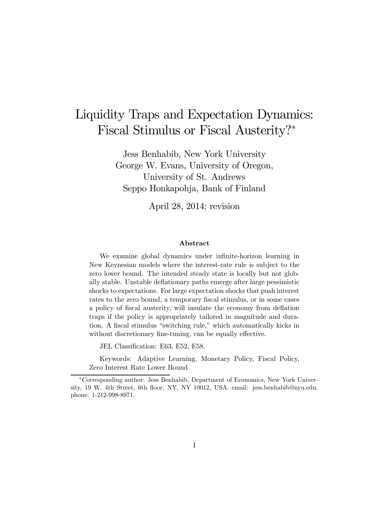# Liquidity Traps and Expectation Dynamics: Fiscal Stimulus or Fiscal Austerity?<sup>∗</sup>

Jess Benhabib, New York University George W. Evans, University of Oregon, University of St. Andrews Seppo Honkapohja, Bank of Finland

April 28, 2014; revision

#### Abstract

We examine global dynamics under infinite-horizon learning in New Keynesian models where the interest-rate rule is subject to the zero lower bound. The intended steady state is locally but not globally stable. Unstable deflationary paths emerge after large pessimistic shocks to expectations. For large expectation shocks that push interest rates to the zero bound, a temporary fiscal stimulus, or in some cases a policy of fiscal austerity, will insulate the economy from deflation traps if the policy is appropriately tailored in magnitude and duration. A fiscal stimulus "switching rule," which automatically kicks in without discretionary fine-tuning, can be equally effective.

JEL Classification: E63, E52, E58.

Keywords: Adaptive Learning, Monetary Policy, Fiscal Policy, Zero Interest Rate Lower Bound

<sup>∗</sup>Corresponding author: Jess Benhabib, Department of Economics, New York University, 19 W. 4th Street, 6th floor, NY, NY 10012, USA. email: jess.benhabib@nyu.edu. phone: 1-212-998-8971.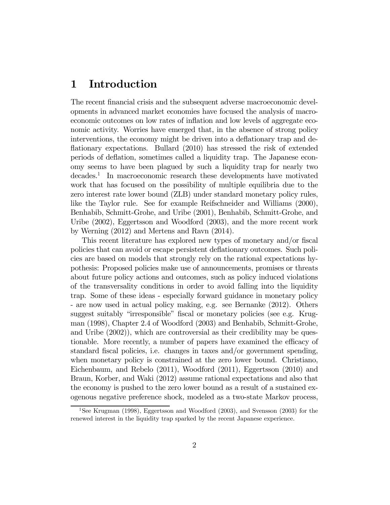# 1 Introduction

The recent financial crisis and the subsequent adverse macroeconomic developments in advanced market economies have focused the analysis of macroeconomic outcomes on low rates of inflation and low levels of aggregate economic activity. Worries have emerged that, in the absence of strong policy interventions, the economy might be driven into a deflationary trap and deflationary expectations. Bullard (2010) has stressed the risk of extended periods of deflation, sometimes called a liquidity trap. The Japanese economy seems to have been plagued by such a liquidity trap for nearly two decades.1 In macroeconomic research these developments have motivated work that has focused on the possibility of multiple equilibria due to the zero interest rate lower bound (ZLB) under standard monetary policy rules, like the Taylor rule. See for example Reifschneider and Williams (2000), Benhabib, Schmitt-Grohe, and Uribe (2001), Benhabib, Schmitt-Grohe, and Uribe (2002), Eggertsson and Woodford (2003), and the more recent work by Werning (2012) and Mertens and Ravn (2014).

This recent literature has explored new types of monetary and/or fiscal policies that can avoid or escape persistent deflationary outcomes. Such policies are based on models that strongly rely on the rational expectations hypothesis: Proposed policies make use of announcements, promises or threats about future policy actions and outcomes, such as policy induced violations of the transversality conditions in order to avoid falling into the liquidity trap. Some of these ideas - especially forward guidance in monetary policy - are now used in actual policy making, e.g. see Bernanke (2012). Others suggest suitably "irresponsible" fiscal or monetary policies (see e.g. Krugman (1998), Chapter 2.4 of Woodford (2003) and Benhabib, Schmitt-Grohe, and Uribe (2002)), which are controversial as their credibility may be questionable. More recently, a number of papers have examined the efficacy of standard fiscal policies, i.e. changes in taxes and/or government spending, when monetary policy is constrained at the zero lower bound. Christiano, Eichenbaum, and Rebelo (2011), Woodford (2011), Eggertsson (2010) and Braun, Korber, and Waki (2012) assume rational expectations and also that the economy is pushed to the zero lower bound as a result of a sustained exogenous negative preference shock, modeled as a two-state Markov process,

<sup>1</sup>See Krugman (1998), Eggertsson and Woodford (2003), and Svensson (2003) for the renewed interest in the liquidity trap sparked by the recent Japanese experience.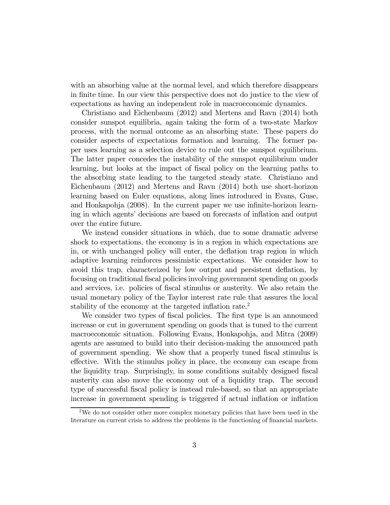with an absorbing value at the normal level, and which therefore disappears in finite time. In our view this perspective does not do justice to the view of expectations as having an independent role in macroeconomic dynamics.

Christiano and Eichenbaum (2012) and Mertens and Ravn (2014) both consider sunspot equilibria, again taking the form of a two-state Markov process, with the normal outcome as an absorbing state. These papers do consider aspects of expectations formation and learning. The former paper uses learning as a selection device to rule out the sunspot equilibrium. The latter paper concedes the instability of the sunspot equilibrium under learning, but looks at the impact of fiscal policy on the learning paths to the absorbing state leading to the targeted steady state. Christiano and Eichenbaum (2012) and Mertens and Ravn (2014) both use short-horizon learning based on Euler equations, along lines introduced in Evans, Guse, and Honkapohja (2008). In the current paper we use infinite-horizon learning in which agents' decisions are based on forecasts of inflation and output over the entire future.

We instead consider situations in which, due to some dramatic adverse shock to expectations, the economy is in a region in which expectations are in, or with unchanged policy will enter, the deflation trap region in which adaptive learning reinforces pessimistic expectations. We consider how to avoid this trap, characterized by low output and persistent deflation, by focusing on traditional fiscal policies involving government spending on goods and services, i.e. policies of fiscal stimulus or austerity. We also retain the usual monetary policy of the Taylor interest rate rule that assures the local stability of the economy at the targeted inflation rate.<sup>2</sup>

We consider two types of fiscal policies. The first type is an announced increase or cut in government spending on goods that is tuned to the current macroeconomic situation. Following Evans, Honkapohja, and Mitra (2009) agents are assumed to build into their decision-making the announced path of government spending. We show that a properly tuned fiscal stimulus is effective. With the stimulus policy in place, the economy can escape from the liquidity trap. Surprisingly, in some conditions suitably designed fiscal austerity can also move the economy out of a liquidity trap. The second type of successful fiscal policy is instead rule-based, so that an appropriate increase in government spending is triggered if actual inflation or inflation

<sup>2</sup>We do not consider other more complex monetary policies that have been used in the literature on current crisis to address the problems in the functioning of financial markets.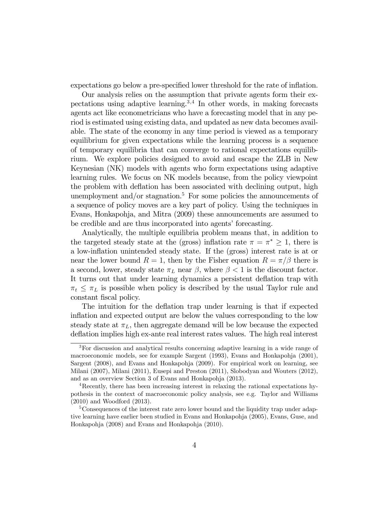expectations go below a pre-specified lower threshold for the rate of inflation.

Our analysis relies on the assumption that private agents form their expectations using adaptive learning.3<sup>4</sup> In other words, in making forecasts agents act like econometricians who have a forecasting model that in any period is estimated using existing data, and updated as new data becomes available. The state of the economy in any time period is viewed as a temporary equilibrium for given expectations while the learning process is a sequence of temporary equilibria that can converge to rational expectations equilibrium. We explore policies designed to avoid and escape the ZLB in New Keynesian (NK) models with agents who form expectations using adaptive learning rules. We focus on NK models because, from the policy viewpoint the problem with deflation has been associated with declining output, high unemployment and/or stagnation.<sup>5</sup> For some policies the announcements of a sequence of policy moves are a key part of policy. Using the techniques in Evans, Honkapohja, and Mitra (2009) these announcements are assumed to be credible and are thus incorporated into agents' forecasting.

Analytically, the multiple equilibria problem means that, in addition to the targeted steady state at the (gross) inflation rate  $\pi = \pi^* \geq 1$ , there is a low-inflation unintended steady state. If the (gross) interest rate is at or near the lower bound  $R = 1$ , then by the Fisher equation  $R = \pi/\beta$  there is a second, lower, steady state  $\pi_L$  near  $\beta$ , where  $\beta < 1$  is the discount factor. It turns out that under learning dynamics a persistent deflation trap with  $\pi_t \leq \pi_L$  is possible when policy is described by the usual Taylor rule and constant fiscal policy.

The intuition for the deflation trap under learning is that if expected inflation and expected output are below the values corresponding to the low steady state at  $\pi_L$ , then aggregate demand will be low because the expected deflation implies high ex-ante real interest rates values. The high real interest

<sup>&</sup>lt;sup>3</sup>For discussion and analytical results concerning adaptive learning in a wide range of macroeconomic models, see for example Sargent (1993), Evans and Honkapohja (2001), Sargent (2008), and Evans and Honkapohja (2009). For empirical work on learning, see Milani (2007), Milani (2011), Eusepi and Preston (2011), Slobodyan and Wouters (2012), and as an overview Section 3 of Evans and Honkapohja (2013).

<sup>&</sup>lt;sup>4</sup>Recently, there has been increasing interest in relaxing the rational expectations hypothesis in the context of macroeconomic policy analysis, see e.g. Taylor and Williams (2010) and Woodford (2013).

<sup>&</sup>lt;sup>5</sup>Consequences of the interest rate zero lower bound and the liquidity trap under adaptive learning have earlier been studied in Evans and Honkapohja (2005), Evans, Guse, and Honkapohja (2008) and Evans and Honkapohja (2010).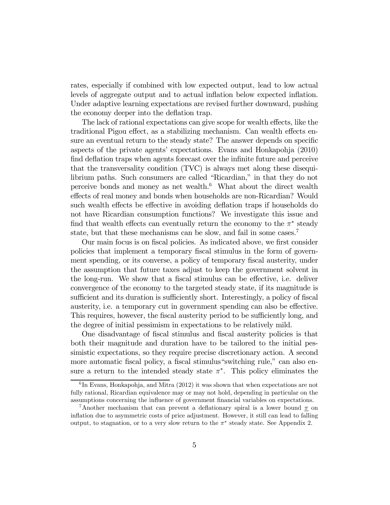rates, especially if combined with low expected output, lead to low actual levels of aggregate output and to actual inflation below expected inflation. Under adaptive learning expectations are revised further downward, pushing the economy deeper into the deflation trap.

The lack of rational expectations can give scope for wealth effects, like the traditional Pigou effect, as a stabilizing mechanism. Can wealth effects ensure an eventual return to the steady state? The answer depends on specific aspects of the private agents' expectations. Evans and Honkapohja (2010) find deflation traps when agents forecast over the infinite future and perceive that the transversality condition (TVC) is always met along these disequilibrium paths. Such consumers are called "Ricardian," in that they do not perceive bonds and money as net wealth. $6$  What about the direct wealth effects of real money and bonds when households are non-Ricardian? Would such wealth effects be effective in avoiding deflation traps if households do not have Ricardian consumption functions? We investigate this issue and find that wealth effects can eventually return the economy to the  $\pi^*$  steady state, but that these mechanisms can be slow, and fail in some cases.<sup>7</sup>

Our main focus is on fiscal policies. As indicated above, we first consider policies that implement a temporary fiscal stimulus in the form of government spending, or its converse, a policy of temporary fiscal austerity, under the assumption that future taxes adjust to keep the government solvent in the long-run. We show that a fiscal stimulus can be effective, i.e. deliver convergence of the economy to the targeted steady state, if its magnitude is sufficient and its duration is sufficiently short. Interestingly, a policy of fiscal austerity, i.e. a temporary cut in government spending can also be effective. This requires, however, the fiscal austerity period to be sufficiently long, and the degree of initial pessimism in expectations to be relatively mild.

One disadvantage of fiscal stimulus and fiscal austerity policies is that both their magnitude and duration have to be tailored to the initial pessimistic expectations, so they require precise discretionary action. A second more automatic fiscal policy, a fiscal stimulus"switching rule," can also ensure a return to the intended steady state  $\pi^*$ . This policy eliminates the

 $6$ In Evans, Honkapohja, and Mitra (2012) it was shown that when expectations are not fully rational, Ricardian equivalence may or may not hold, depending in particular on the assumptions concerning the influence of government financial variables on expectations.

<sup>&</sup>lt;sup>7</sup>Another mechanism that can prevent a deflationary spiral is a lower bound  $\pi$  on inflation due to asymmetric costs of price adjustment. However, it still can lead to falling output, to stagnation, or to a very slow return to the  $\pi^*$  steady state. See Appendix 2.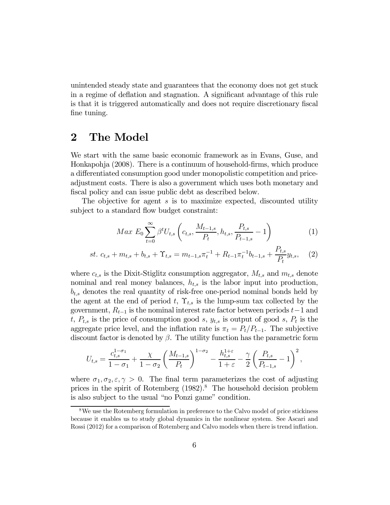unintended steady state and guarantees that the economy does not get stuck in a regime of deflation and stagnation. A significant advantage of this rule is that it is triggered automatically and does not require discretionary fiscal fine tuning.

# 2 The Model

We start with the same basic economic framework as in Evans, Guse, and Honkapohja (2008). There is a continuum of household-firms, which produce a differentiated consumption good under monopolistic competition and priceadjustment costs. There is also a government which uses both monetary and fiscal policy and can issue public debt as described below.

The objective for agent  $s$  is to maximize expected, discounted utility subject to a standard flow budget constraint:

$$
Max E_0 \sum_{t=0}^{\infty} \beta^t U_{t,s} \left( c_{t,s}, \frac{M_{t-1,s}}{P_t}, h_{t,s}, \frac{P_{t,s}}{P_{t-1,s}} - 1 \right)
$$
 (1)

$$
st. \ c_{t,s} + m_{t,s} + b_{t,s} + \Upsilon_{t,s} = m_{t-1,s} \pi_t^{-1} + R_{t-1} \pi_t^{-1} b_{t-1,s} + \frac{P_{t,s}}{P_t} y_{t,s}, \tag{2}
$$

where  $c_{t,s}$  is the Dixit-Stiglitz consumption aggregator,  $M_{t,s}$  and  $m_{t,s}$  denote nominal and real money balances,  $h_{t,s}$  is the labor input into production,  $b_{t,s}$  denotes the real quantity of risk-free one-period nominal bonds held by the agent at the end of period t,  $\Upsilon_{t,s}$  is the lump-sum tax collected by the government,  $R_{t-1}$  is the nominal interest rate factor between periods  $t-1$  and t,  $P_{t,s}$  is the price of consumption good s,  $y_{t,s}$  is output of good s,  $P_t$  is the aggregate price level, and the inflation rate is  $\pi_t = P_t/P_{t-1}$ . The subjective discount factor is denoted by  $\beta$ . The utility function has the parametric form

$$
U_{t,s} = \frac{c_{t,s}^{1-\sigma_1}}{1-\sigma_1} + \frac{\chi}{1-\sigma_2} \left(\frac{M_{t-1,s}}{P_t}\right)^{1-\sigma_2} - \frac{h_{t,s}^{1+\varepsilon}}{1+\varepsilon} - \frac{\gamma}{2} \left(\frac{P_{t,s}}{P_{t-1,s}} - 1\right)^2,
$$

where  $\sigma_1, \sigma_2, \varepsilon, \gamma > 0$ . The final term parameterizes the cost of adjusting prices in the spirit of Rotemberg  $(1982)^8$ . The household decision problem is also subject to the usual "no Ponzi game" condition.

<sup>&</sup>lt;sup>8</sup>We use the Rotemberg formulation in preference to the Calvo model of price stickiness because it enables us to study global dynamics in the nonlinear system. See Ascari and Rossi (2012) for a comparison of Rotemberg and Calvo models when there is trend inflation.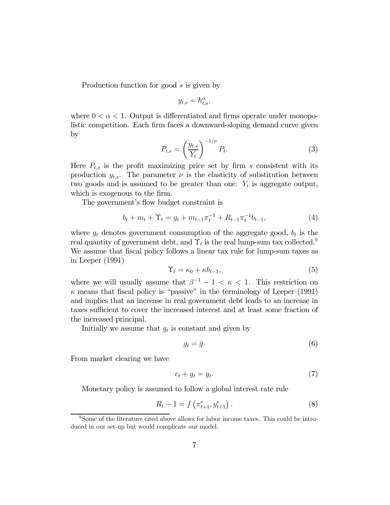Production function for good s is given by

$$
y_{t,s} = h_{t,s}^{\alpha},
$$

where  $0 < \alpha < 1$ . Output is differentiated and firms operate under monopolistic competition. Each firm faces a downward-sloping demand curve given by

$$
P_{t,s} = \left(\frac{y_{t,s}}{Y_t}\right)^{-1/\nu} P_t.
$$
\n(3)

Here  $P_{t,s}$  is the profit maximizing price set by firm s consistent with its production  $y_{t,s}$ . The parameter  $\nu$  is the elasticity of substitution between two goods and is assumed to be greater than one.  $Y_t$  is aggregate output, which is exogenous to the firm.

The government's flow budget constraint is

$$
b_t + m_t + \Upsilon_t = g_t + m_{t-1} \pi_t^{-1} + R_{t-1} \pi_t^{-1} b_{t-1}, \tag{4}
$$

where  $g_t$  denotes government consumption of the aggregate good,  $b_t$  is the real quantity of government debt, and  $\Upsilon_t$  is the real lump-sum tax collected.<sup>9</sup> We assume that fiscal policy follows a linear tax rule for lump-sum taxes as in Leeper (1991)

$$
\Upsilon_t = \kappa_0 + \kappa b_{t-1},\tag{5}
$$

where we will usually assume that  $\beta^{-1} - 1 < \kappa < 1$ . This restriction on  $\kappa$  means that fiscal policy is "passive" in the terminology of Leeper (1991) and implies that an increase in real government debt leads to an increase in taxes sufficient to cover the increased interest and at least some fraction of the increased principal.

Initially we assume that  $g_t$  is constant and given by

$$
g_t = \bar{g}.\tag{6}
$$

From market clearing we have

$$
c_t + g_t = y_t. \tag{7}
$$

Monetary policy is assumed to follow a global interest rate rule

$$
R_t - 1 = f\left(\pi_{t+1}^e, y_{t+1}^e\right). \tag{8}
$$

<sup>&</sup>lt;sup>9</sup>Some of the literature cited above allows for labor income taxes. This could be introduced in our set-up but would complicate our model.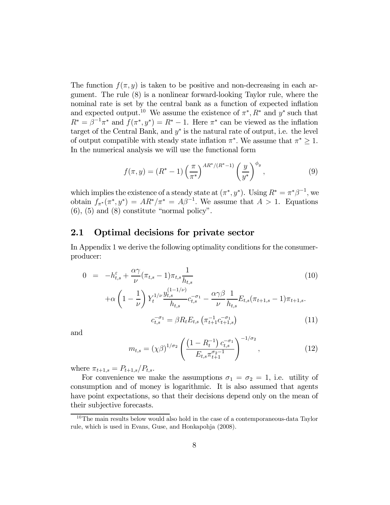The function  $f(\pi, y)$  is taken to be positive and non-decreasing in each argument. The rule (8) is a nonlinear forward-looking Taylor rule, where the nominal rate is set by the central bank as a function of expected inflation and expected output.<sup>10</sup> We assume the existence of  $\pi^*, R^*$  and  $y^*$  such that  $R^* = \beta^{-1}\pi^*$  and  $f(\pi^*, y^*) = R^* - 1$ . Here  $\pi^*$  can be viewed as the inflation target of the Central Bank, and  $y^*$  is the natural rate of output, i.e. the level of output compatible with steady state inflation  $\pi^*$ . We assume that  $\pi^* \geq 1$ . In the numerical analysis we will use the functional form

$$
f(\pi, y) = (R^* - 1) \left(\frac{\pi}{\pi^*}\right)^{AR^*/(R^*-1)} \left(\frac{y}{y^*}\right)^{\phi_y},\tag{9}
$$

which implies the existence of a steady state at  $(\pi^*, y^*)$ . Using  $R^* = \pi^* \beta^{-1}$ , we obtain  $f_{\pi^*}(\pi^*, y^*) = AR^*/\pi^* = A\beta^{-1}$ . We assume that  $A > 1$ . Equations  $(6)$ ,  $(5)$  and  $(8)$  constitute "normal policy".

### 2.1 Optimal decisions for private sector

In Appendix 1 we derive the following optimality conditions for the consumerproducer:

$$
0 = -h_{t,s}^{\varepsilon} + \frac{\alpha \gamma}{\nu} (\pi_{t,s} - 1) \pi_{t,s} \frac{1}{h_{t,s}}
$$
\n
$$
(10)
$$

$$
+\alpha \left(1 - \frac{1}{\nu}\right) Y_t^{1/\nu} \frac{y_{t,s}^{(1-1/\nu)}}{h_{t,s}} c_{t,s}^{-\sigma_1} - \frac{\alpha \gamma \beta}{\nu} \frac{1}{h_{t,s}} E_{t,s} (\pi_{t+1,s} - 1) \pi_{t+1,s}.
$$

$$
c_{t,s}^{-\sigma_1} = \beta R_t E_{t,s} \left(\pi_{t+1}^{-1} c_{t+1,s}^{-\sigma_1}\right)
$$
(11)

and

$$
m_{t,s} = (\chi \beta)^{1/\sigma_2} \left( \frac{\left(1 - R_t^{-1}\right) c_{t,s}^{-\sigma_1}}{E_{t,s} \pi_{t+1}^{\sigma_2 - 1}} \right)^{-1/\sigma_2}, \qquad (12)
$$

where  $\pi_{t+1,s} = P_{t+1,s}/P_{t,s}$ .

For convenience we make the assumptions  $\sigma_1 = \sigma_2 = 1$ , i.e. utility of consumption and of money is logarithmic. It is also assumed that agents have point expectations, so that their decisions depend only on the mean of their subjective forecasts.

 $10$ The main results below would also hold in the case of a contemporaneous-data Taylor rule, which is used in Evans, Guse, and Honkapohja (2008).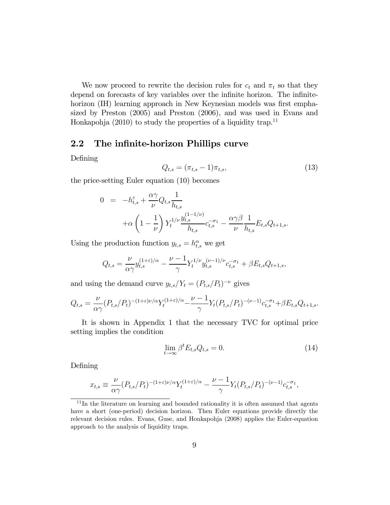We now proceed to rewrite the decision rules for  $c_t$  and  $\pi_t$  so that they depend on forecasts of key variables over the infinite horizon. The infinitehorizon (IH) learning approach in New Keynesian models was first emphasized by Preston (2005) and Preston (2006), and was used in Evans and Honkapohja  $(2010)$  to study the properties of a liquidity trap.<sup>11</sup>

### 2.2 The infinite-horizon Phillips curve

Defining

$$
Q_{t,s} = (\pi_{t,s} - 1)\pi_{t,s},
$$
\n(13)

the price-setting Euler equation (10) becomes

$$
0 = -h_{t,s}^{\varepsilon} + \frac{\alpha \gamma}{\nu} Q_{t,s} \frac{1}{h_{t,s}} + \alpha \left( 1 - \frac{1}{\nu} \right) Y_t^{1/\nu} \frac{y_{t,s}^{(1-1/\nu)}}{h_{t,s}} c_{t,s}^{-\sigma_1} - \frac{\alpha \gamma \beta}{\nu} \frac{1}{h_{t,s}} E_{t,s} Q_{t+1,s}.
$$

Using the production function  $y_{t,s} = h_{t,s}^{\alpha}$  we get

$$
Q_{t,s} = \frac{\nu}{\alpha \gamma} y_{t,s}^{(1+\varepsilon)/\alpha} - \frac{\nu - 1}{\gamma} Y_t^{1/\nu} y_{t,s}^{(\nu-1)/\nu} c_{t,s}^{-\sigma_1} + \beta E_{t,s} Q_{t+1,s},
$$

and using the demand curve  $y_{t,s}/Y_t = (P_{t,s}/P_t)^{-\nu}$  gives

$$
Q_{t,s} = \frac{\nu}{\alpha \gamma} (P_{t,s}/P_t)^{-(1+\varepsilon)\nu/\alpha} Y_t^{(1+\varepsilon)/\alpha} - \frac{\nu-1}{\gamma} Y_t (P_{t,s}/P_t)^{-(\nu-1)} c_{t,s}^{-\sigma_1} + \beta E_{t,s} Q_{t+1,s}.
$$

It is shown in Appendix 1 that the necessary TVC for optimal price setting implies the condition

$$
\lim_{t \to \infty} \beta^t E_{t,s} Q_{t,s} = 0. \tag{14}
$$

Defining

$$
x_{t,s} \equiv \frac{\nu}{\alpha \gamma} (P_{t,s}/P_t)^{-(1+\varepsilon)\nu/\alpha} Y_t^{(1+\varepsilon)/\alpha} - \frac{\nu-1}{\gamma} Y_t (P_{t,s}/P_t)^{-(\nu-1)} c_{t,s}^{-\sigma_1},
$$

 $11$ In the literature on learning and bounded rationality it is often assumed that agents have a short (one-period) decision horizon. Then Euler equations provide directly the relevant decision rules. Evans, Guse, and Honkapohja (2008) applies the Euler-equation approach to the analysis of liquidity traps.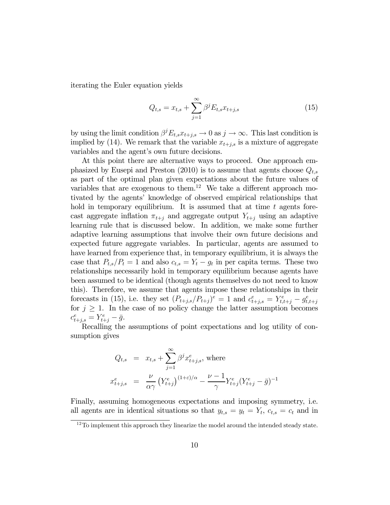iterating the Euler equation yields

$$
Q_{t,s} = x_{t,s} + \sum_{j=1}^{\infty} \beta^j E_{t,s} x_{t+j,s}
$$
 (15)

by using the limit condition  $\beta^j E_{t,s} x_{t+j,s} \to 0$  as  $j \to \infty$ . This last condition is implied by (14). We remark that the variable  $x_{t+j,s}$  is a mixture of aggregate variables and the agent's own future decisions.

At this point there are alternative ways to proceed. One approach emphasized by Eusepi and Preston (2010) is to assume that agents choose  $Q_{t,s}$ as part of the optimal plan given expectations about the future values of variables that are exogenous to them.<sup>12</sup> We take a different approach motivated by the agents' knowledge of observed empirical relationships that hold in temporary equilibrium. It is assumed that at time  $t$  agents forecast aggregate inflation  $\pi_{t+j}$  and aggregate output  $Y_{t+j}$  using an adaptive learning rule that is discussed below. In addition, we make some further adaptive learning assumptions that involve their own future decisions and expected future aggregate variables. In particular, agents are assumed to have learned from experience that, in temporary equilibrium, it is always the case that  $P_{t,s}/P_t = 1$  and also  $c_{t,s} = Y_t - g_t$  in per capita terms. These two relationships necessarily hold in temporary equilibrium because agents have been assumed to be identical (though agents themselves do not need to know this). Therefore, we assume that agents impose these relationships in their forecasts in (15), i.e. they set  $(P_{t+j,s}/P_{t+j})^e = 1$  and  $c_{t+j,s}^e = Y_{t,t+j}^e - g_{t,t+j}^e$ for  $j \geq 1$ . In the case of no policy change the latter assumption becomes  $c_{t+j,s}^e = Y_{t+j}^e - \bar{g}.$ 

Recalling the assumptions of point expectations and log utility of consumption gives

$$
Q_{t,s} = x_{t,s} + \sum_{j=1}^{\infty} \beta^j x_{t+j,s}^e, \text{ where}
$$
  

$$
x_{t+j,s}^e = \frac{\nu}{\alpha \gamma} \left( Y_{t+j}^e \right)^{(1+\varepsilon)/\alpha} - \frac{\nu-1}{\gamma} Y_{t+j}^e (Y_{t+j}^e - \bar{g})^{-1}
$$

Finally, assuming homogeneous expectations and imposing symmetry, i.e. all agents are in identical situations so that  $y_{t,s} = y_t = Y_t$ ,  $c_{t,s} = c_t$  and in

 $12$ To implement this approach they linearize the model around the intended steady state.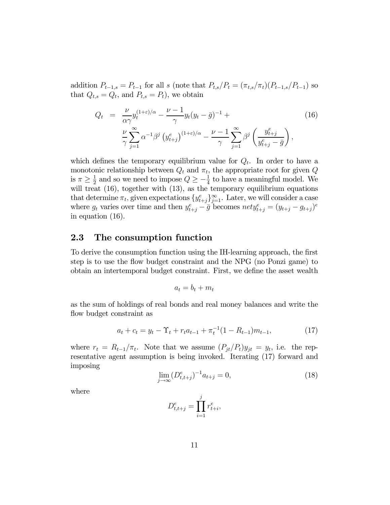addition  $P_{t-1,s} = P_{t-1}$  for all s (note that  $P_{t,s}/P_t = (\pi_{t,s}/\pi_t)(P_{t-1,s}/P_{t-1})$  so that  $Q_{t,s} = Q_t$ , and  $P_{t,s} = P_t$ , we obtain

$$
Q_t = \frac{\nu}{\alpha \gamma} y_t^{(1+\varepsilon)/\alpha} - \frac{\nu - 1}{\gamma} y_t (y_t - \bar{g})^{-1} +
$$
  

$$
\frac{\nu}{\gamma} \sum_{j=1}^{\infty} \alpha^{-1} \beta^j (y_{t+j}^e)^{(1+\varepsilon)/\alpha} - \frac{\nu - 1}{\gamma} \sum_{j=1}^{\infty} \beta^j \left( \frac{y_{t+j}^e}{y_{t+j}^e - \bar{g}} \right),
$$
 (16)

which defines the temporary equilibrium value for  $Q_t$ . In order to have a monotonic relationship between  $Q_t$  and  $\pi_t$ , the appropriate root for given  $Q$ is  $\pi \geq \frac{1}{2}$  and so we need to impose  $Q \geq -\frac{1}{4}$  to have a meaningful model. We will treat (16), together with (13), as the temporary equilibrium equations that determine  $\pi_t$ , given expectations  $\{y_{t+j}^e\}_{j=1}^\infty$ . Later, we will consider a case where  $g_t$  varies over time and then  $y_{t+j}^e - \bar{g}$  becomes  $nety_{t+j}^e = (y_{t+j} - g_{t+j})^e$ in equation (16).

### 2.3 The consumption function

To derive the consumption function using the IH-learning approach, the first step is to use the flow budget constraint and the NPG (no Ponzi game) to obtain an intertemporal budget constraint. First, we define the asset wealth

$$
a_t = b_t + m_t
$$

as the sum of holdings of real bonds and real money balances and write the flow budget constraint as

$$
a_t + c_t = y_t - \Upsilon_t + r_t a_{t-1} + \pi_t^{-1} (1 - R_{t-1}) m_{t-1}, \tag{17}
$$

where  $r_t = R_{t-1}/\pi_t$ . Note that we assume  $(P_{jt}/P_t)y_{jt} = y_t$ , i.e. the representative agent assumption is being invoked. Iterating (17) forward and imposing

$$
\lim_{j \to \infty} (D_{t,t+j}^e)^{-1} a_{t+j} = 0,\tag{18}
$$

where

$$
D_{t,t+j}^e = \prod_{i=1}^j r_{t+i}^e,
$$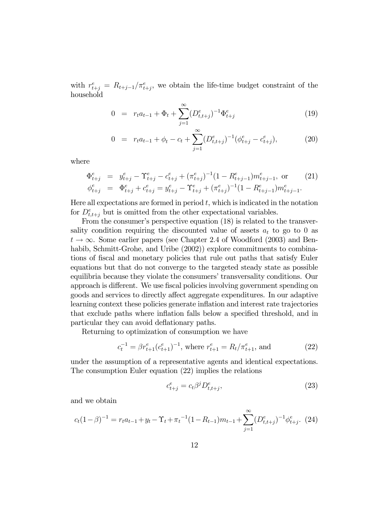with  $r_{t+j}^e = R_{t+j-1}/\pi_{t+j}^e$ , we obtain the life-time budget constraint of the household

$$
0 = r_t a_{t-1} + \Phi_t + \sum_{j=1}^{\infty} (D_{t,t+j}^e)^{-1} \Phi_{t+j}^e
$$
 (19)

$$
0 = r_t a_{t-1} + \phi_t - c_t + \sum_{j=1}^{\infty} (D_{t,t+j}^e)^{-1} (\phi_{t+j}^e - c_{t+j}^e), \tag{20}
$$

where

$$
\Phi_{t+j}^{e} = y_{t+j}^{e} - \Upsilon_{t+j}^{e} - c_{t+j}^{e} + (\pi_{t+j}^{e})^{-1} (1 - R_{t+j-1}^{e}) m_{t+j-1}^{e}, \text{ or } (21)
$$
\n
$$
\phi_{t+j}^{e} = \Phi_{t+j}^{e} + c_{t+j}^{e} = y_{t+j}^{e} - \Upsilon_{t+j}^{e} + (\pi_{t+j}^{e})^{-1} (1 - R_{t+j-1}^{e}) m_{t+j-1}^{e}.
$$

Here all expectations are formed in period  $t$ , which is indicated in the notation for  $D_{t,t+j}^e$  but is omitted from the other expectational variables.

From the consumer's perspective equation (18) is related to the transversality condition requiring the discounted value of assets  $a_t$  to go to 0 as  $t\rightarrow\infty$ . Some earlier papers (see Chapter 2.4 of Woodford (2003) and Benhabib, Schmitt-Grohe, and Uribe (2002)) explore commitments to combinations of fiscal and monetary policies that rule out paths that satisfy Euler equations but that do not converge to the targeted steady state as possible equilibria because they violate the consumers' transversality conditions. Our approach is different. We use fiscal policies involving government spending on goods and services to directly affect aggregate expenditures. In our adaptive learning context these policies generate inflation and interest rate trajectories that exclude paths where inflation falls below a specified threshold, and in particular they can avoid deflationary paths.

Returning to optimization of consumption we have

$$
c_t^{-1} = \beta r_{t+1}^e (c_{t+1}^e)^{-1}, \text{ where } r_{t+1}^e = R_t / \pi_{t+1}^e, \text{ and } \tag{22}
$$

under the assumption of a representative agents and identical expectations. The consumption Euler equation (22) implies the relations

$$
c_{t+j}^e = c_t \beta^j D_{t,t+j}^e,\tag{23}
$$

and we obtain

$$
c_t(1-\beta)^{-1} = r_t a_{t-1} + y_t - \Upsilon_t + \pi_t^{-1} (1 - R_{t-1}) m_{t-1} + \sum_{j=1}^{\infty} (D_{t,t+j}^e)^{-1} \phi_{t+j}^e.
$$
 (24)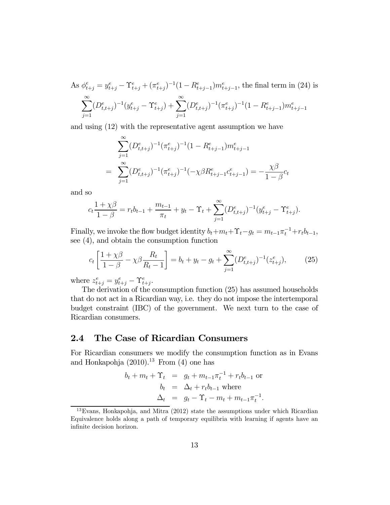As 
$$
\phi_{t+j}^e = y_{t+j}^e - \Upsilon_{t+j}^e + (\pi_{t+j}^e)^{-1} (1 - R_{t+j-1}^e) m_{t+j-1}^e
$$
, the final term in (24) is  
\n
$$
\sum_{j=1}^{\infty} (D_{t,t+j}^e)^{-1} (y_{t+j}^e - \Upsilon_{t+j}^e) + \sum_{j=1}^{\infty} (D_{t,t+j}^e)^{-1} (\pi_{t+j}^e)^{-1} (1 - R_{t+j-1}^e) m_{t+j-1}^e
$$

and using (12) with the representative agent assumption we have

$$
\sum_{j=1}^{\infty} (D_{t,t+j}^e)^{-1} (\pi_{t+j}^e)^{-1} (1 - R_{t+j-1}^e) m_{t+j-1}^e
$$
\n
$$
= \sum_{j=1}^{\infty} (D_{t,t+j}^e)^{-1} (\pi_{t+j}^e)^{-1} (-\chi \beta R_{t+j-1}^e c_{t+j-1}^e) = -\frac{\chi \beta}{1 - \beta} c_t
$$

and so

$$
c_t \frac{1 + \chi \beta}{1 - \beta} = r_t b_{t-1} + \frac{m_{t-1}}{\pi_t} + y_t - \Upsilon_t + \sum_{j=1}^{\infty} (D_{t,t+j}^e)^{-1} (y_{t+j}^e - \Upsilon_{t+j}^e).
$$

Finally, we invoke the flow budget identity  $b_t + m_t + \Upsilon_t - g_t = m_{t-1} \pi_t^{-1} + r_t b_{t-1}$ , see (4), and obtain the consumption function

$$
c_t \left[ \frac{1 + \chi \beta}{1 - \beta} - \chi \beta \frac{R_t}{R_t - 1} \right] = b_t + y_t - g_t + \sum_{j=1}^{\infty} (D_{t, t+j}^e)^{-1} (z_{t+j}^e), \tag{25}
$$

where  $z_{t+j}^e = y_{t+j}^e - \Upsilon_{t+j}^e$ .

The derivation of the consumption function (25) has assumed households that do not act in a Ricardian way, i.e. they do not impose the intertemporal budget constraint (IBC) of the government. We next turn to the case of Ricardian consumers.

### 2.4 The Case of Ricardian Consumers

For Ricardian consumers we modify the consumption function as in Evans and Honkapohja  $(2010).^{13}$  From  $(4)$  one has

$$
b_t + m_t + \Upsilon_t = g_t + m_{t-1}\pi_t^{-1} + r_t b_{t-1} \text{ or}
$$
  
\n
$$
b_t = \Delta_t + r_t b_{t-1} \text{ where}
$$
  
\n
$$
\Delta_t = g_t - \Upsilon_t - m_t + m_{t-1}\pi_t^{-1}.
$$

<sup>13</sup>Evans, Honkapohja, and Mitra (2012) state the assumptions under which Ricardian Equivalence holds along a path of temporary equilibria with learning if agents have an infinite decision horizon.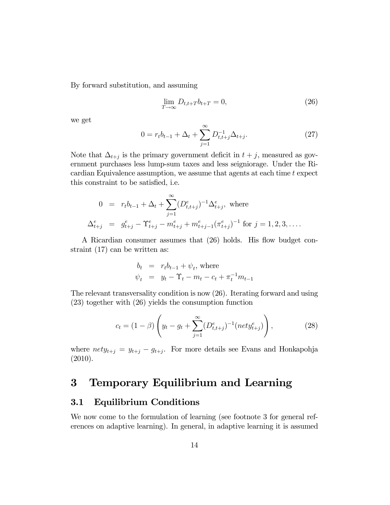By forward substitution, and assuming

$$
\lim_{T \to \infty} D_{t,t+T} b_{t+T} = 0,\tag{26}
$$

we get

$$
0 = r_t b_{t-1} + \Delta_t + \sum_{j=1}^{\infty} D_{t,t+j}^{-1} \Delta_{t+j}.
$$
 (27)

Note that  $\Delta_{t+j}$  is the primary government deficit in  $t+j$ , measured as government purchases less lump-sum taxes and less seigniorage. Under the Ricardian Equivalence assumption, we assume that agents at each time  $t$  expect this constraint to be satisfied, i.e.

$$
0 = r_t b_{t-1} + \Delta_t + \sum_{j=1}^{\infty} (D_{t,t+j}^e)^{-1} \Delta_{t+j}^e, \text{ where}
$$
  

$$
\Delta_{t+j}^e = g_{t+j}^e - \Upsilon_{t+j}^e - m_{t+j}^e + m_{t+j-1}^e (\pi_{t+j}^e)^{-1} \text{ for } j = 1, 2, 3, ....
$$

A Ricardian consumer assumes that (26) holds. His flow budget constraint (17) can be written as:

$$
b_t = r_t b_{t-1} + \psi_t, \text{ where}
$$
  

$$
\psi_t = y_t - \Upsilon_t - m_t - c_t + \pi_t^{-1} m_{t-1}
$$

The relevant transversality condition is now (26). Iterating forward and using (23) together with (26) yields the consumption function

$$
c_t = (1 - \beta) \left( y_t - g_t + \sum_{j=1}^{\infty} (D_{t,t+j}^e)^{-1} (nety_{t+j}^e) \right),
$$
 (28)

where  $nety_{t+j} = y_{t+j} - g_{t+j}$ . For more details see Evans and Honkapohja (2010).

# 3 Temporary Equilibrium and Learning

### 3.1 Equilibrium Conditions

We now come to the formulation of learning (see footnote 3 for general references on adaptive learning). In general, in adaptive learning it is assumed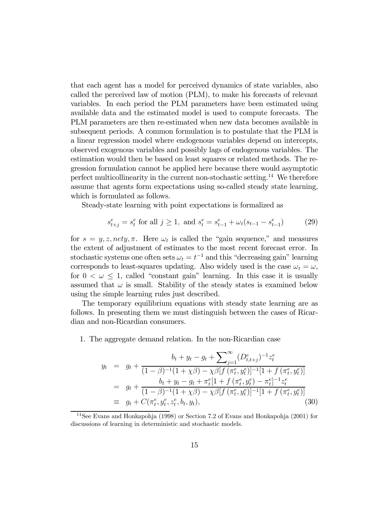that each agent has a model for perceived dynamics of state variables, also called the perceived law of motion (PLM), to make his forecasts of relevant variables. In each period the PLM parameters have been estimated using available data and the estimated model is used to compute forecasts. The PLM parameters are then re-estimated when new data becomes available in subsequent periods. A common formulation is to postulate that the PLM is a linear regression model where endogenous variables depend on intercepts, observed exogenous variables and possibly lags of endogenous variables. The estimation would then be based on least squares or related methods. The regression formulation cannot be applied here because there would asymptotic perfect multicollinearity in the current non-stochastic setting.<sup>14</sup> We therefore assume that agents form expectations using so-called steady state learning, which is formulated as follows.

Steady-state learning with point expectations is formalized as

$$
s_{t+j}^e = s_t^e \text{ for all } j \ge 1, \text{ and } s_t^e = s_{t-1}^e + \omega_t(s_{t-1} - s_{t-1}^e) \tag{29}
$$

for  $s = y, z, nety, \pi$ . Here  $\omega_t$  is called the "gain sequence," and measures the extent of adjustment of estimates to the most recent forecast error. In stochastic systems one often sets  $\omega_t = t^{-1}$  and this "decreasing gain" learning corresponds to least-squares updating. Also widely used is the case  $\omega_t = \omega$ , for  $0 < \omega \leq 1$ , called "constant gain" learning. In this case it is usually assumed that  $\omega$  is small. Stability of the steady states is examined below using the simple learning rules just described.

The temporary equilibrium equations with steady state learning are as follows. In presenting them we must distinguish between the cases of Ricardian and non-Ricardian consumers.

1. The aggregate demand relation. In the non-Ricardian case

$$
y_t = g_t + \frac{b_t + y_t - g_t + \sum_{j=1}^{\infty} (D_{t,t+j}^e)^{-1} z_t^e}{(1 - \beta)^{-1} (1 + \chi \beta) - \chi \beta [f(\pi_t^e, y_t^e)]^{-1} [1 + f(\pi_t^e, y_t^e)]}
$$
  
= 
$$
g_t + \frac{b_t + y_t - g_t + \pi_t^e [1 + f(\pi_t^e, y_t^e) - \pi_t^e]^{-1} z_t^e}{(1 - \beta)^{-1} (1 + \chi \beta) - \chi \beta [f(\pi_t^e, y_t^e)]^{-1} [1 + f(\pi_t^e, y_t^e)]}
$$
  
= 
$$
g_t + C(\pi_t^e, y_t^e, z_t^e, b_t, y_t), \qquad (30)
$$

<sup>14</sup>See Evans and Honkapohja (1998) or Section 7.2 of Evans and Honkapohja (2001) for discussions of learning in deterministic and stochastic models.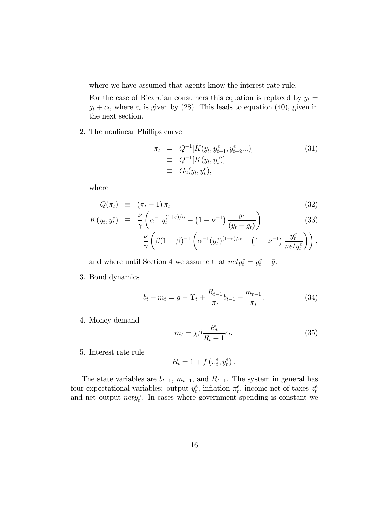where we have assumed that agents know the interest rate rule.

For the case of Ricardian consumers this equation is replaced by  $y_t =$  $g_t + c_t$ , where  $c_t$  is given by (28). This leads to equation (40), given in the next section.

2. The nonlinear Phillips curve

$$
\pi_t = Q^{-1}[\tilde{K}(y_t, y_{t+1}^e, y_{t+2}^e...)]
$$
\n
$$
\equiv Q^{-1}[K(y_t, y_t^e)]
$$
\n
$$
\equiv G_2(y_t, y_t^e),
$$
\n(31)

where

$$
Q(\pi_t) \equiv (\pi_t - 1) \pi_t \tag{32}
$$

$$
K(y_t, y_t^e) \equiv \frac{\nu}{\gamma} \left( \alpha^{-1} y_t^{(1+\varepsilon)/\alpha} - \left( 1 - \nu^{-1} \right) \frac{y_t}{(y_t - g_t)} \right) \tag{33}
$$

$$
+\frac{\nu}{\gamma}\left(\beta(1-\beta)^{-1}\left(\alpha^{-1}(y_t^e)^{(1+\varepsilon)/\alpha}-\left(1-\nu^{-1}\right)\frac{y_t^e}{nety_t^e}\right)\right),\,
$$

and where until Section 4 we assume that  $nety_t^e = y_t^e - \bar{g}$ .

3. Bond dynamics

$$
b_t + m_t = g - \Upsilon_t + \frac{R_{t-1}}{\pi_t} b_{t-1} + \frac{m_{t-1}}{\pi_t}.
$$
 (34)

4. Money demand

$$
m_t = \chi \beta \frac{R_t}{R_t - 1} c_t.
$$
\n(35)

5. Interest rate rule

$$
R_t = 1 + f\left(\pi_t^e, y_t^e\right).
$$

The state variables are  $b_{t-1}$ ,  $m_{t-1}$ , and  $R_{t-1}$ . The system in general has four expectational variables: output  $y_t^e$ , inflation  $\pi_t^e$ , income net of taxes  $z_t^e$ and net output  $\textit{nety}_t^e$ . In cases where government spending is constant we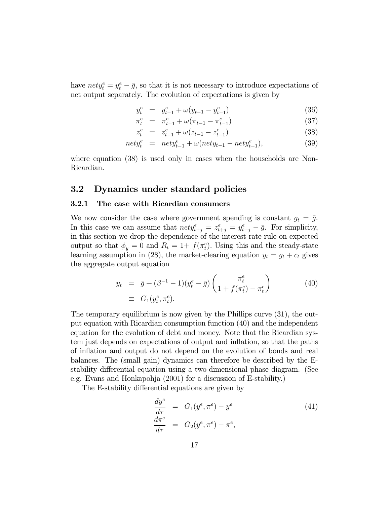have  $nety_t^e = y_t^e - \bar{g}$ , so that it is not necessary to introduce expectations of net output separately. The evolution of expectations is given by

$$
y_t^e = y_{t-1}^e + \omega(y_{t-1} - y_{t-1}^e) \tag{36}
$$

$$
\pi_t^e = \pi_{t-1}^e + \omega(\pi_{t-1} - \pi_{t-1}^e) \tag{37}
$$

$$
z_t^e = z_{t-1}^e + \omega(z_{t-1} - z_{t-1}^e) \tag{38}
$$

$$
nety_t^e = nety_{t-1}^e + \omega(nety_{t-1} - nety_{t-1}^e), \qquad (39)
$$

where equation (38) is used only in cases when the households are Non-Ricardian.

### 3.2 Dynamics under standard policies

#### 3.2.1 The case with Ricardian consumers

We now consider the case where government spending is constant  $g_t = \bar{g}$ . In this case we can assume that  $nety_{t+j}^e = z_{t+j}^e = y_{t+j}^e - \bar{g}$ . For simplicity, in this section we drop the dependence of the interest rate rule on expected output so that  $\phi_y = 0$  and  $R_t = 1 + f(\pi_t^e)$ . Using this and the steady-state learning assumption in (28), the market-clearing equation  $y_t = g_t + c_t$  gives the aggregate output equation

$$
y_t = \bar{g} + (\beta^{-1} - 1)(y_t^e - \bar{g}) \left( \frac{\pi_t^e}{1 + f(\pi_t^e) - \pi_t^e} \right)
$$
  

$$
\equiv G_1(y_t^e, \pi_t^e).
$$
 (40)

The temporary equilibrium is now given by the Phillips curve (31), the output equation with Ricardian consumption function (40) and the independent equation for the evolution of debt and money. Note that the Ricardian system just depends on expectations of output and inflation, so that the paths of inflation and output do not depend on the evolution of bonds and real balances. The (small gain) dynamics can therefore be described by the Estability differential equation using a two-dimensional phase diagram. (See e.g. Evans and Honkapohja (2001) for a discussion of E-stability.)

The E-stability differential equations are given by

$$
\frac{dy^e}{d\tau} = G_1(y^e, \pi^e) - y^e
$$
\n
$$
\frac{d\pi^e}{d\tau} = G_2(y^e, \pi^e) - \pi^e,
$$
\n(41)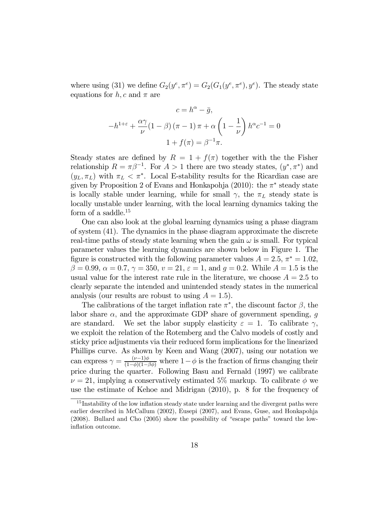where using (31) we define  $G_2(y^e, \pi^e) = G_2(G_1(y^e, \pi^e), y^e)$ . The steady state equations for  $h, c$  and  $\pi$  are

$$
c = h^{\alpha} - \bar{g},
$$

$$
-h^{1+\varepsilon} + \frac{\alpha \gamma}{\nu} (1 - \beta) (\pi - 1) \pi + \alpha \left( 1 - \frac{1}{\nu} \right) h^{\alpha} c^{-1} = 0
$$

$$
1 + f(\pi) = \beta^{-1} \pi.
$$

Steady states are defined by  $R = 1 + f(\pi)$  together with the the Fisher relationship  $R = \pi \beta^{-1}$ . For  $A > 1$  there are two steady states,  $(y^*, \pi^*)$  and  $(y_L, \pi_L)$  with  $\pi_L < \pi^*$ . Local E-stability results for the Ricardian case are given by Proposition 2 of Evans and Honkapohja (2010): the  $\pi^*$  steady state is locally stable under learning, while for small  $\gamma$ , the  $\pi_L$  steady state is locally unstable under learning, with the local learning dynamics taking the form of a saddle.<sup>15</sup>

One can also look at the global learning dynamics using a phase diagram of system (41). The dynamics in the phase diagram approximate the discrete real-time paths of steady state learning when the gain  $\omega$  is small. For typical parameter values the learning dynamics are shown below in Figure 1. The figure is constructed with the following parameter values  $A = 2.5$ ,  $\pi^* = 1.02$ ,  $\beta = 0.99, \alpha = 0.7, \gamma = 350, v = 21, \varepsilon = 1$ , and  $g = 0.2$ . While  $A = 1.5$  is the usual value for the interest rate rule in the literature, we choose  $A = 2.5$  to clearly separate the intended and unintended steady states in the numerical analysis (our results are robust to using  $A = 1.5$ ).

The calibrations of the target inflation rate  $\pi^*$ , the discount factor  $\beta$ , the labor share  $\alpha$ , and the approximate GDP share of government spending, g are standard. We set the labor supply elasticity  $\varepsilon = 1$ . To calibrate  $\gamma$ , we exploit the relation of the Rotemberg and the Calvo models of costly and sticky price adjustments via their reduced form implications for the linearized Phillips curve. As shown by Keen and Wang (2007), using our notation we can express  $\gamma = \frac{(\nu - 1)\phi}{(1 - \phi)(1 - \beta\phi)}$  where  $1 - \phi$  is the fraction of firms changing their price during the quarter. Following Basu and Fernald (1997) we calibrate  $\nu = 21$ , implying a conservatively estimated 5% markup. To calibrate  $\phi$  we use the estimate of Kehoe and Midrigan (2010), p. 8 for the frequency of

<sup>&</sup>lt;sup>15</sup> Instability of the low inflation steady state under learning and the divergent paths were earlier described in McCallum (2002), Eusepi (2007), and Evans, Guse, and Honkapohja (2008). Bullard and Cho (2005) show the possibility of "escape paths" toward the lowinflation outcome.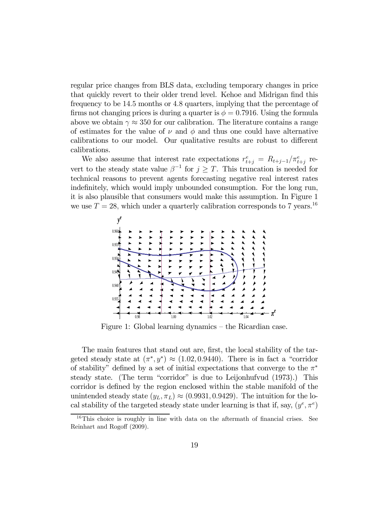regular price changes from BLS data, excluding temporary changes in price that quickly revert to their older trend level. Kehoe and Midrigan find this frequency to be 145 months or 48 quarters, implying that the percentage of firms not changing prices is during a quarter is  $\phi = 0.7916$ . Using the formula above we obtain  $\gamma \approx 350$  for our calibration. The literature contains a range of estimates for the value of  $\nu$  and  $\phi$  and thus one could have alternative calibrations to our model. Our qualitative results are robust to different calibrations.

We also assume that interest rate expectations  $r_{t+j}^e = R_{t+j-1}/\pi_{t+j}^e$  revert to the steady state value  $\beta^{-1}$  for  $j \geq T$ . This truncation is needed for technical reasons to prevent agents forecasting negative real interest rates indefinitely, which would imply unbounded consumption. For the long run, it is also plausible that consumers would make this assumption. In Figure 1 we use  $T = 28$ , which under a quarterly calibration corresponds to 7 years.<sup>16</sup>



Figure 1: Global learning dynamics — the Ricardian case.

The main features that stand out are, first, the local stability of the targeted steady state at  $(\pi^*, y^*) \approx (1.02, 0.9440)$ . There is in fact a "corridor" of stability" defined by a set of initial expectations that converge to the  $\pi^*$ steady state. (The term "corridor" is due to Leijonhufvud (1973).) This corridor is defined by the region enclosed within the stable manifold of the unintended steady state  $(y_L, \pi_L) \approx (0.9931, 0.9429)$ . The intuition for the local stability of the targeted steady state under learning is that if, say,  $(y^e, \pi^e)$ 

 $16$ This choice is roughly in line with data on the aftermath of financial crises. See Reinhart and Rogoff (2009).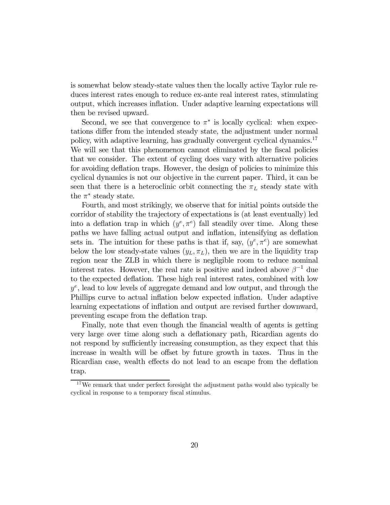is somewhat below steady-state values then the locally active Taylor rule reduces interest rates enough to reduce ex-ante real interest rates, stimulating output, which increases inflation. Under adaptive learning expectations will then be revised upward.

Second, we see that convergence to  $\pi^*$  is locally cyclical: when expectations differ from the intended steady state, the adjustment under normal policy, with adaptive learning, has gradually convergent cyclical dynamics.17 We will see that this phenomenon cannot eliminated by the fiscal policies that we consider. The extent of cycling does vary with alternative policies for avoiding deflation traps. However, the design of policies to minimize this cyclical dynamics is not our objective in the current paper. Third, it can be seen that there is a heteroclinic orbit connecting the  $\pi_L$  steady state with the  $\pi^*$  steady state.

Fourth, and most strikingly, we observe that for initial points outside the corridor of stability the trajectory of expectations is (at least eventually) led into a deflation trap in which  $(y^e, \pi^e)$  fall steadily over time. Along these paths we have falling actual output and inflation, intensifying as deflation sets in. The intuition for these paths is that if, say,  $(y^e, \pi^e)$  are somewhat below the low steady-state values  $(y_L, \pi_L)$ , then we are in the liquidity trap region near the ZLB in which there is negligible room to reduce nominal interest rates. However, the real rate is positive and indeed above  $\beta^{-1}$  due to the expected deflation. These high real interest rates, combined with low  $y^e$ , lead to low levels of aggregate demand and low output, and through the Phillips curve to actual inflation below expected inflation. Under adaptive learning expectations of inflation and output are revised further downward, preventing escape from the deflation trap.

Finally, note that even though the financial wealth of agents is getting very large over time along such a deflationary path, Ricardian agents do not respond by sufficiently increasing consumption, as they expect that this increase in wealth will be offset by future growth in taxes. Thus in the Ricardian case, wealth effects do not lead to an escape from the deflation trap.

<sup>&</sup>lt;sup>17</sup>We remark that under perfect foresight the adjustment paths would also typically be cyclical in response to a temporary fiscal stimulus.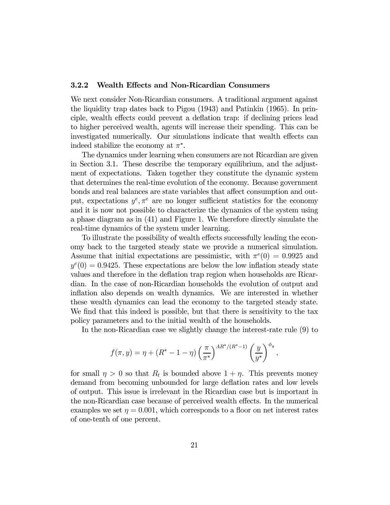#### 3.2.2 Wealth Effects and Non-Ricardian Consumers

We next consider Non-Ricardian consumers. A traditional argument against the liquidity trap dates back to Pigou (1943) and Patinkin (1965). In principle, wealth effects could prevent a deflation trap: if declining prices lead to higher perceived wealth, agents will increase their spending. This can be investigated numerically. Our simulations indicate that wealth effects can indeed stabilize the economy at  $\pi^*$ .

The dynamics under learning when consumers are not Ricardian are given in Section 3.1. These describe the temporary equilibrium, and the adjustment of expectations. Taken together they constitute the dynamic system that determines the real-time evolution of the economy. Because government bonds and real balances are state variables that affect consumption and output, expectations  $y^e, \pi^e$  are no longer sufficient statistics for the economy and it is now not possible to characterize the dynamics of the system using a phase diagram as in (41) and Figure 1. We therefore directly simulate the real-time dynamics of the system under learning.

To illustrate the possibility of wealth effects successfully leading the economy back to the targeted steady state we provide a numerical simulation. Assume that initial expectations are pessimistic, with  $\pi^{e}(0) = 0.9925$  and  $y^e(0) = 0.9425$ . These expectations are below the low inflation steady state values and therefore in the deflation trap region when households are Ricardian. In the case of non-Ricardian households the evolution of output and inflation also depends on wealth dynamics. We are interested in whether these wealth dynamics can lead the economy to the targeted steady state. We find that this indeed is possible, but that there is sensitivity to the tax policy parameters and to the initial wealth of the households.

In the non-Ricardian case we slightly change the interest-rate rule (9) to

$$
f(\pi, y) = \eta + (R^* - 1 - \eta) \left(\frac{\pi}{\pi^*}\right)^{AR^*/(R^*-1)} \left(\frac{y}{y^*}\right)^{\phi_y},
$$

for small  $\eta > 0$  so that  $R_t$  is bounded above  $1 + \eta$ . This prevents money demand from becoming unbounded for large deflation rates and low levels of output. This issue is irrelevant in the Ricardian case but is important in the non-Ricardian case because of perceived wealth effects. In the numerical examples we set  $\eta = 0.001$ , which corresponds to a floor on net interest rates of one-tenth of one percent.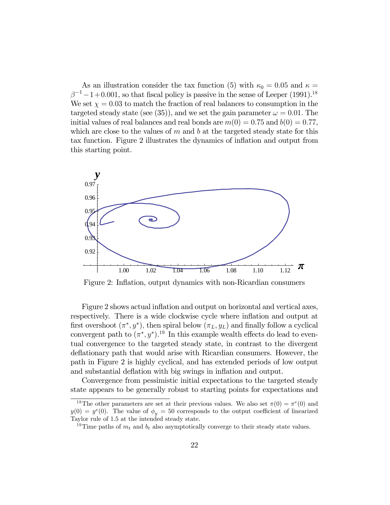As an illustration consider the tax function (5) with  $\kappa_0 = 0.05$  and  $\kappa =$  $\beta^{-1}-1+0.001$ , so that fiscal policy is passive in the sense of Leeper (1991).<sup>18</sup> We set  $\chi = 0.03$  to match the fraction of real balances to consumption in the targeted steady state (see (35)), and we set the gain parameter  $\omega = 0.01$ . The initial values of real balances and real bonds are  $m(0) = 0.75$  and  $b(0) = 0.77$ , which are close to the values of  $m$  and  $b$  at the targeted steady state for this tax function. Figure 2 illustrates the dynamics of inflation and output from this starting point.



Figure 2: Inflation, output dynamics with non-Ricardian consumers

Figure 2 shows actual inflation and output on horizontal and vertical axes, respectively. There is a wide clockwise cycle where inflation and output at first overshoot  $(\pi^*, y^*)$ , then spiral below  $(\pi_L, y_L)$  and finally follow a cyclical convergent path to  $(\pi^*, y^*)$ .<sup>19</sup> In this example wealth effects do lead to eventual convergence to the targeted steady state, in contrast to the divergent deflationary path that would arise with Ricardian consumers. However, the path in Figure 2 is highly cyclical, and has extended periods of low output and substantial deflation with big swings in inflation and output.

Convergence from pessimistic initial expectations to the targeted steady state appears to be generally robust to starting points for expectations and

<sup>&</sup>lt;sup>18</sup>The other parameters are set at their previous values. We also set  $\pi(0) = \pi^{e}(0)$  and  $y(0) = y^e(0)$ . The value of  $\phi_y = 50$  corresponds to the output coefficient of linearized Taylor rule of 1.5 at the intended steady state.

<sup>&</sup>lt;sup>19</sup>Time paths of  $m_t$  and  $b_t$  also asymptotically converge to their steady state values.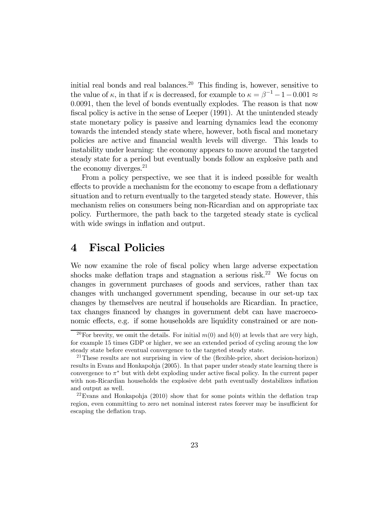initial real bonds and real balances.<sup>20</sup> This finding is, however, sensitive to the value of  $\kappa$ , in that if  $\kappa$  is decreased, for example to  $\kappa = \beta^{-1} - 1 - 0.001 \approx$ 0.0091, then the level of bonds eventually explodes. The reason is that now fiscal policy is active in the sense of Leeper (1991). At the unintended steady state monetary policy is passive and learning dynamics lead the economy towards the intended steady state where, however, both fiscal and monetary policies are active and financial wealth levels will diverge. This leads to instability under learning: the economy appears to move around the targeted steady state for a period but eventually bonds follow an explosive path and the economy diverges.<sup>21</sup>

From a policy perspective, we see that it is indeed possible for wealth effects to provide a mechanism for the economy to escape from a deflationary situation and to return eventually to the targeted steady state. However, this mechanism relies on consumers being non-Ricardian and on appropriate tax policy. Furthermore, the path back to the targeted steady state is cyclical with wide swings in inflation and output.

### 4 Fiscal Policies

We now examine the role of fiscal policy when large adverse expectation shocks make deflation traps and stagnation a serious risk.<sup>22</sup> We focus on changes in government purchases of goods and services, rather than tax changes with unchanged government spending, because in our set-up tax changes by themselves are neutral if households are Ricardian. In practice, tax changes financed by changes in government debt can have macroeconomic effects, e.g. if some households are liquidity constrained or are non-

<sup>&</sup>lt;sup>20</sup>For brevity, we omit the details. For initial  $m(0)$  and  $b(0)$  at levels that are very high, for example 15 times GDP or higher, we see an extended period of cycling aroung the low steady state before eventual convergence to the targeted steady state.

 $21$ These results are not surprising in view of the (flexible-price, short decision-horizon) results in Evans and Honkapohja (2005). In that paper under steady state learning there is convergence to  $\pi^*$  but with debt exploding under active fiscal policy. In the current paper with non-Ricardian households the explosive debt path eventually destabilizes inflation and output as well.

 $22$ Evans and Honkapohja (2010) show that for some points within the deflation trap region, even committing to zero net nominal interest rates forever may be insufficient for escaping the deflation trap.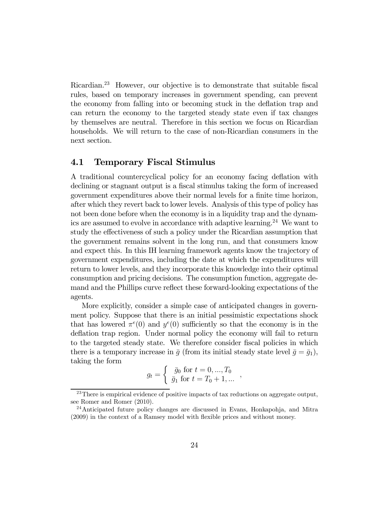Ricardian.23 However, our objective is to demonstrate that suitable fiscal rules, based on temporary increases in government spending, can prevent the economy from falling into or becoming stuck in the deflation trap and can return the economy to the targeted steady state even if tax changes by themselves are neutral. Therefore in this section we focus on Ricardian households. We will return to the case of non-Ricardian consumers in the next section.

### 4.1 Temporary Fiscal Stimulus

A traditional countercyclical policy for an economy facing deflation with declining or stagnant output is a fiscal stimulus taking the form of increased government expenditures above their normal levels for a finite time horizon, after which they revert back to lower levels. Analysis of this type of policy has not been done before when the economy is in a liquidity trap and the dynamics are assumed to evolve in accordance with adaptive learning.<sup>24</sup> We want to study the effectiveness of such a policy under the Ricardian assumption that the government remains solvent in the long run, and that consumers know and expect this. In this IH learning framework agents know the trajectory of government expenditures, including the date at which the expenditures will return to lower levels, and they incorporate this knowledge into their optimal consumption and pricing decisions. The consumption function, aggregate demand and the Phillips curve reflect these forward-looking expectations of the agents.

More explicitly, consider a simple case of anticipated changes in government policy. Suppose that there is an initial pessimistic expectations shock that has lowered  $\pi^e(0)$  and  $y^e(0)$  sufficiently so that the economy is in the deflation trap region. Under normal policy the economy will fail to return to the targeted steady state. We therefore consider fiscal policies in which there is a temporary increase in  $\bar{g}$  (from its initial steady state level  $\bar{g} = \bar{g}_1$ ), taking the form

$$
g_t = \begin{cases} \bar{g}_0 \text{ for } t = 0, ..., T_0 \\ \bar{g}_1 \text{ for } t = T_0 + 1, ... \end{cases}
$$

 $^{23}$  There is empirical evidence of positive impacts of tax reductions on aggregate output, see Romer and Romer (2010).

 $24$ Anticipated future policy changes are discussed in Evans, Honkapohja, and Mitra (2009) in the context of a Ramsey model with flexible prices and without money.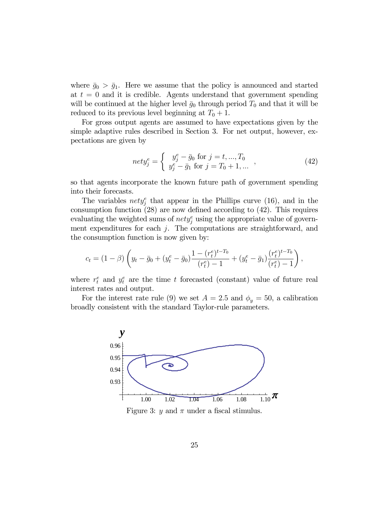where  $\bar{g}_0 > \bar{g}_1$ . Here we assume that the policy is announced and started at  $t = 0$  and it is credible. Agents understand that government spending will be continued at the higher level  $\bar{g}_0$  through period  $T_0$  and that it will be reduced to its previous level beginning at  $T_0 + 1$ .

For gross output agents are assumed to have expectations given by the simple adaptive rules described in Section 3. For net output, however, expectations are given by

$$
nety_j^e = \begin{cases} y_j^e - \bar{g}_0 \text{ for } j = t, ..., T_0 \\ y_j^e - \bar{g}_1 \text{ for } j = T_0 + 1, ... \end{cases}
$$
\n(42)

so that agents incorporate the known future path of government spending into their forecasts.

The variables  $nety_j^e$  that appear in the Phillips curve (16), and in the consumption function (28) are now defined according to (42). This requires evaluating the weighted sums of  $nety_j^e$  using the appropriate value of government expenditures for each  $j$ . The computations are straightforward, and the consumption function is now given by:

$$
c_t = (1 - \beta) \left( y_t - \bar{g}_0 + (y_t^e - \bar{g}_0) \frac{1 - (r_t^e)^{t - T_0}}{(r_t^e) - 1} + (y_t^e - \bar{g}_1) \frac{(r_t^e)^{t - T_0}}{(r_t^e) - 1} \right),
$$

where  $r_t^e$  and  $y_t^e$  are the time t forecasted (constant) value of future real interest rates and output.

For the interest rate rule (9) we set  $A = 2.5$  and  $\phi_y = 50$ , a calibration broadly consistent with the standard Taylor-rule parameters.



Figure 3:  $y$  and  $\pi$  under a fiscal stimulus.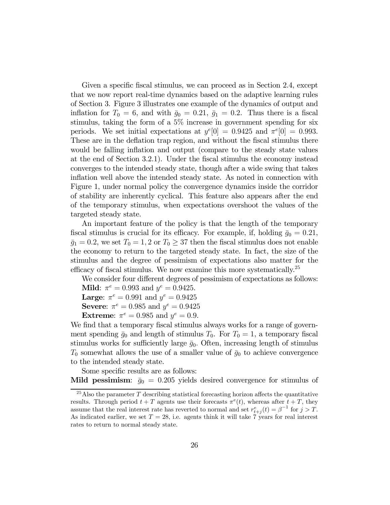Given a specific fiscal stimulus, we can proceed as in Section 2.4, except that we now report real-time dynamics based on the adaptive learning rules of Section 3. Figure 3 illustrates one example of the dynamics of output and inflation for  $T_0 = 6$ , and with  $\bar{g}_0 = 0.21$ ,  $\bar{g}_1 = 0.2$ . Thus there is a fiscal stimulus, taking the form of a 5% increase in government spending for six periods. We set initial expectations at  $y^{e}[0] = 0.9425$  and  $\pi^{e}[0] = 0.993$ . These are in the deflation trap region, and without the fiscal stimulus there would be falling inflation and output (compare to the steady state values at the end of Section 3.2.1). Under the fiscal stimulus the economy instead converges to the intended steady state, though after a wide swing that takes inflation well above the intended steady state. As noted in connection with Figure 1, under normal policy the convergence dynamics inside the corridor of stability are inherently cyclical. This feature also appears after the end of the temporary stimulus, when expectations overshoot the values of the targeted steady state.

An important feature of the policy is that the length of the temporary fiscal stimulus is crucial for its efficacy. For example, if, holding  $\bar{g}_0 = 0.21$ ,  $\bar{g}_1 = 0.2$ , we set  $T_0 = 1, 2 \text{ or } T_0 \geq 37$  then the fiscal stimulus does not enable the economy to return to the targeted steady state. In fact, the size of the stimulus and the degree of pessimism of expectations also matter for the efficacy of fiscal stimulus. We now examine this more systematically.<sup>25</sup>

We consider four different degrees of pessimism of expectations as follows: **Mild:**  $\pi^e = 0.993$  and  $y^e = 0.9425$ .

**Large:**  $\pi^e = 0.991$  and  $y^e = 0.9425$ 

**Severe:**  $\pi^e = 0.985$  and  $y^e = 0.9425$ 

**Extreme:**  $\pi^e = 0.985$  and  $y^e = 0.9$ .

We find that a temporary fiscal stimulus always works for a range of government spending  $\bar{g}_0$  and length of stimulus  $T_0$ . For  $T_0 = 1$ , a temporary fiscal stimulus works for sufficiently large  $\bar{g}_0$ . Often, increasing length of stimulus  $T_0$  somewhat allows the use of a smaller value of  $\bar{g}_0$  to achieve convergence to the intended steady state.

Some specific results are as follows: **Mild pessimism:**  $\bar{g}_0 = 0.205$  yields desired convergence for stimulus of

 $^{25}$ Also the parameter  $T$  describing statistical forecasting horizon affects the quantitative results. Through period  $t + T$  agents use their forecasts  $\pi^{e}(t)$ , whereas after  $t + T$ , they assume that the real interest rate has reverted to normal and set  $r_{t+j}^e(t) = \beta^{-1}$  for  $j > T$ . As indicated earlier, we set  $T = 28$ , i.e. agents think it will take 7 years for real interest rates to return to normal steady state.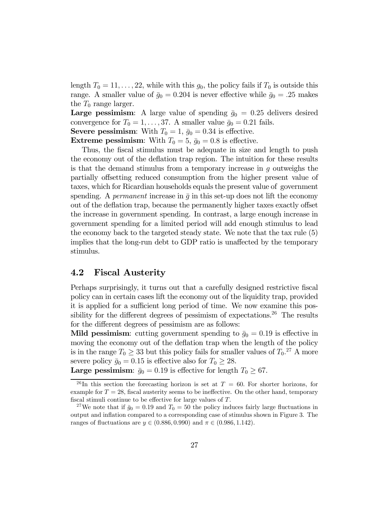length  $T_0 = 11, \ldots, 22$ , while with this  $g_0$ , the policy fails if  $T_0$  is outside this range. A smaller value of  $\bar{g}_0 = 0.204$  is never effective while  $\bar{g}_0 = .25$  makes the  $T_0$  range larger.

**Large pessimism:** A large value of spending  $\bar{g}_0 = 0.25$  delivers desired convergence for  $T_0 = 1, \ldots, 37$ . A smaller value  $\bar{g}_0 = 0.21$  fails.

Severe pessimism: With  $T_0 = 1$ ,  $\bar{g}_0 = 0.34$  is effective.

Extreme pessimism: With  $T_0 = 5$ ,  $\bar{g}_0 = 0.8$  is effective.

Thus, the fiscal stimulus must be adequate in size and length to push the economy out of the deflation trap region. The intuition for these results is that the demand stimulus from a temporary increase in  $q$  outweighs the partially offsetting reduced consumption from the higher present value of taxes, which for Ricardian households equals the present value of government spending. A *permanent* increase in  $\bar{g}$  in this set-up does not lift the economy out of the deflation trap, because the permanently higher taxes exactly offset the increase in government spending. In contrast, a large enough increase in government spending for a limited period will add enough stimulus to lead the economy back to the targeted steady state. We note that the tax rule (5) implies that the long-run debt to GDP ratio is unaffected by the temporary stimulus.

### 4.2 Fiscal Austerity

Perhaps surprisingly, it turns out that a carefully designed restrictive fiscal policy can in certain cases lift the economy out of the liquidity trap, provided it is applied for a sufficient long period of time. We now examine this possibility for the different degrees of pessimism of expectations.<sup>26</sup> The results for the different degrees of pessimism are as follows:

Mild pessimism: cutting government spending to  $\bar{g}_0 = 0.19$  is effective in moving the economy out of the deflation trap when the length of the policy is in the range  $T_0 \geq 33$  but this policy fails for smaller values of  $T_0$ .<sup>27</sup> A more severe policy  $\bar{g}_0 = 0.15$  is effective also for  $T_0 \geq 28$ .

**Large pessimism**:  $\bar{g}_0 = 0.19$  is effective for length  $T_0 \ge 67$ .

<sup>&</sup>lt;sup>26</sup>In this section the forecasting horizon is set at  $T = 60$ . For shorter horizons, for example for  $T = 28$ , fiscal austerity seems to be ineffective. On the other hand, temporary fiscal stimuli continue to be effective for large values of  $T$ .

<sup>&</sup>lt;sup>27</sup>We note that if  $\bar{g}_0 = 0.19$  and  $T_0 = 50$  the policy induces fairly large fluctuations in output and inflation compared to a corresponding case of stimulus shown in Figure 3. The ranges of fluctuations are  $y \in (0.886, 0.990)$  and  $\pi \in (0.986, 1.142)$ .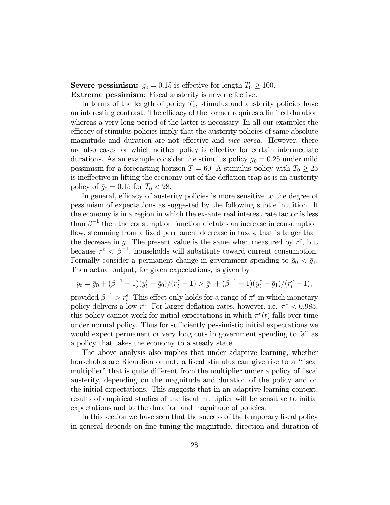Severe pessimism:  $\bar{g}_0 = 0.15$  is effective for length  $T_0 \ge 100$ . Extreme pessimism: Fiscal austerity is never effective.

In terms of the length of policy  $T_0$ , stimulus and austerity policies have an interesting contrast. The efficacy of the former requires a limited duration whereas a very long period of the latter is necessary. In all our examples the efficacy of stimulus policies imply that the austerity policies of same absolute magnitude and duration are not effective and vice versa. However, there are also cases for which neither policy is effective for certain intermediate durations. As an example consider the stimulus policy  $\bar{g}_0 = 0.25$  under mild pessimism for a forecasting horizon  $T = 60$ . A stimulus policy with  $T_0 \geq 25$ is ineffective in lifting the economy out of the deflation trap as is an austerity policy of  $\bar{g}_0 = 0.15$  for  $T_0 < 28$ .

In general, efficacy of austerity policies is more sensitive to the degree of pessimism of expectations as suggested by the following subtle intuition. If the economy is in a region in which the ex-ante real interest rate factor is less than  $\beta^{-1}$  then the consumption function dictates an increase in consumption flow, stemming from a fixed permanent decrease in taxes, that is larger than the decrease in g. The present value is the same when measured by  $r^e$ , but because  $r^e < \beta^{-1}$ , households will substitute toward current consumption. Formally consider a permanent change in government spending to  $\bar{g}_0 < \bar{g}_1$ . Then actual output, for given expectations, is given by

$$
y_t = \bar{g}_0 + (\beta^{-1} - 1)(y_t^e - \bar{g}_0)/(r_t^e - 1) > \bar{g}_1 + (\beta^{-1} - 1)(y_t^e - \bar{g}_1)/(r_t^e - 1),
$$

provided  $\beta^{-1} > r_t^e$ . This effect only holds for a range of  $\pi^e$  in which monetary policy delivers a low  $r^e$ . For larger deflation rates, however, i.e.  $\pi^e < 0.985$ , this policy cannot work for initial expectations in which  $\pi^e(t)$  falls over time under normal policy. Thus for sufficiently pessimistic initial expectations we would expect permanent or very long cuts in government spending to fail as a policy that takes the economy to a steady state.

The above analysis also implies that under adaptive learning, whether households are Ricardian or not, a fiscal stimulus can give rise to a "fiscal multiplier" that is quite different from the multiplier under a policy of fiscal austerity, depending on the magnitude and duration of the policy and on the initial expectations. This suggests that in an adaptive learning context, results of empirical studies of the fiscal multiplier will be sensitive to initial expectations and to the duration and magnitude of policies.

In this section we have seen that the success of the temporary fiscal policy in general depends on fine tuning the magnitude, direction and duration of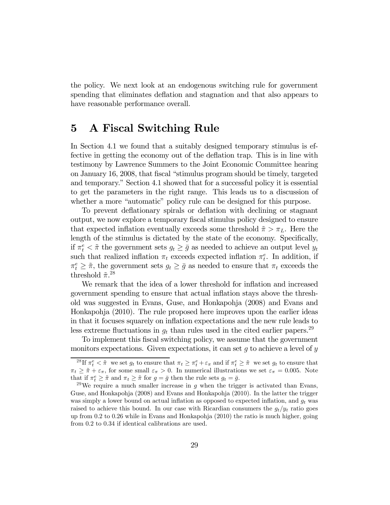the policy. We next look at an endogenous switching rule for government spending that eliminates deflation and stagnation and that also appears to have reasonable performance overall.

# 5 A Fiscal Switching Rule

In Section 4.1 we found that a suitably designed temporary stimulus is effective in getting the economy out of the deflation trap. This is in line with testimony by Lawrence Summers to the Joint Economic Committee hearing on January 16, 2008, that fiscal "stimulus program should be timely, targeted and temporary." Section 4.1 showed that for a successful policy it is essential to get the parameters in the right range. This leads us to a discussion of whether a more "automatic" policy rule can be designed for this purpose.

To prevent deflationary spirals or deflation with declining or stagnant output, we now explore a temporary fiscal stimulus policy designed to ensure that expected inflation eventually exceeds some threshold  $\tilde{\pi} > \pi_L$ . Here the length of the stimulus is dictated by the state of the economy. Specifically, if  $\pi_t^e < \tilde{\pi}$  the government sets  $g_t \geq \bar{g}$  as needed to achieve an output level  $y_t$ such that realized inflation  $\pi_t$  exceeds expected inflation  $\pi_t^e$ . In addition, if  $\pi_t^e \geq \tilde{\pi}$ , the government sets  $g_t \geq \bar{g}$  as needed to ensure that  $\pi_t$  exceeds the threshold  $\tilde{\pi}.^{28}$ 

We remark that the idea of a lower threshold for inflation and increased government spending to ensure that actual inflation stays above the threshold was suggested in Evans, Guse, and Honkapohja (2008) and Evans and Honkapohja (2010). The rule proposed here improves upon the earlier ideas in that it focuses squarely on inflation expectations and the new rule leads to less extreme fluctuations in  $g_t$  than rules used in the cited earlier papers.<sup>29</sup>

To implement this fiscal switching policy, we assume that the government monitors expectations. Given expectations, it can set  $q$  to achieve a level of  $y$ 

<sup>&</sup>lt;sup>28</sup>If  $\pi_t^e < \tilde{\pi}$  we set  $g_t$  to ensure that  $\pi_t \geq \pi_t^e + \varepsilon_\pi$  and if  $\pi_t^e \geq \tilde{\pi}$  we set  $g_t$  to ensure that  $\pi_t \geq \tilde{\pi} + \varepsilon_\pi$ , for some small  $\varepsilon_\pi > 0$ . In numerical illustrations we set  $\varepsilon_\pi = 0.005$ . Note that if  $\pi_t^e \geq \tilde{\pi}$  and  $\pi_t \geq \tilde{\pi}$  for  $g = \bar{g}$  then the rule sets  $g_t = \bar{g}$ .

<sup>&</sup>lt;sup>29</sup>We require a much smaller increase in  $g$  when the trigger is activated than Evans, Guse, and Honkapohja (2008) and Evans and Honkapohja (2010). In the latter the trigger was simply a lower bound on actual inflation as opposed to expected inflation, and  $g_t$  was raised to achieve this bound. In our case with Ricardian consumers the  $q_t/y_t$  ratio goes up from 02 to 0.26 while in Evans and Honkapohja (2010) the ratio is much higher, going from 02 to 034 if identical calibrations are used.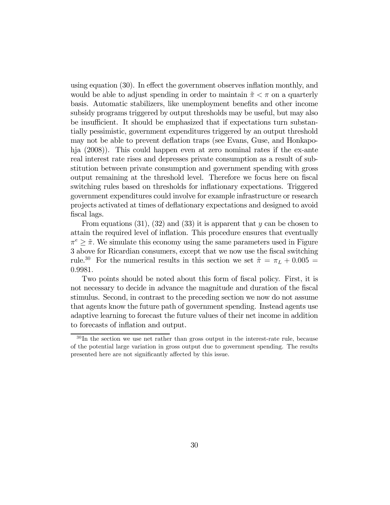using equation (30). In effect the government observes inflation monthly, and would be able to adjust spending in order to maintain  $\tilde{\pi} < \pi$  on a quarterly basis. Automatic stabilizers, like unemployment benefits and other income subsidy programs triggered by output thresholds may be useful, but may also be insufficient. It should be emphasized that if expectations turn substantially pessimistic, government expenditures triggered by an output threshold may not be able to prevent deflation traps (see Evans, Guse, and Honkapohja (2008)). This could happen even at zero nominal rates if the ex-ante real interest rate rises and depresses private consumption as a result of substitution between private consumption and government spending with gross output remaining at the threshold level. Therefore we focus here on fiscal switching rules based on thresholds for inflationary expectations. Triggered government expenditures could involve for example infrastructure or research projects activated at times of deflationary expectations and designed to avoid fiscal lags.

From equations  $(31)$ ,  $(32)$  and  $(33)$  it is apparent that y can be chosen to attain the required level of inflation. This procedure ensures that eventually  $\pi^e \geq \tilde{\pi}$ . We simulate this economy using the same parameters used in Figure 3 above for Ricardian consumers, except that we now use the fiscal switching rule.<sup>30</sup> For the numerical results in this section we set  $\tilde{\pi} = \pi_L + 0.005$ 0.9981.

Two points should be noted about this form of fiscal policy. First, it is not necessary to decide in advance the magnitude and duration of the fiscal stimulus. Second, in contrast to the preceding section we now do not assume that agents know the future path of government spending. Instead agents use adaptive learning to forecast the future values of their net income in addition to forecasts of inflation and output.

 $30$  In the section we use net rather than gross output in the interest-rate rule, because of the potential large variation in gross output due to government spending. The results presented here are not significantly affected by this issue.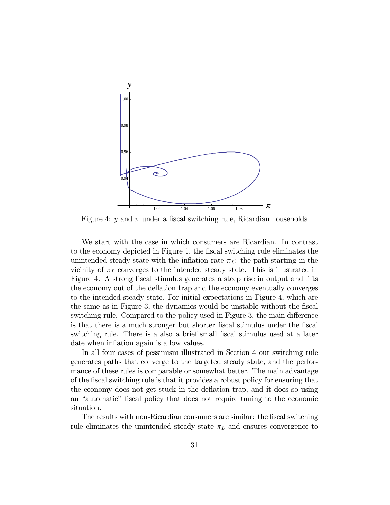

Figure 4:  $y$  and  $\pi$  under a fiscal switching rule, Ricardian households

We start with the case in which consumers are Ricardian. In contrast to the economy depicted in Figure 1, the fiscal switching rule eliminates the unintended steady state with the inflation rate  $\pi_L$ : the path starting in the vicinity of  $\pi_L$  converges to the intended steady state. This is illustrated in Figure 4. A strong fiscal stimulus generates a steep rise in output and lifts the economy out of the deflation trap and the economy eventually converges to the intended steady state. For initial expectations in Figure 4, which are the same as in Figure 3, the dynamics would be unstable without the fiscal switching rule. Compared to the policy used in Figure 3, the main difference is that there is a much stronger but shorter fiscal stimulus under the fiscal switching rule. There is a also a brief small fiscal stimulus used at a later date when inflation again is a low values.

In all four cases of pessimism illustrated in Section 4 our switching rule generates paths that converge to the targeted steady state, and the performance of these rules is comparable or somewhat better. The main advantage of the fiscal switching rule is that it provides a robust policy for ensuring that the economy does not get stuck in the deflation trap, and it does so using an "automatic" fiscal policy that does not require tuning to the economic situation.

The results with non-Ricardian consumers are similar: the fiscal switching rule eliminates the unintended steady state  $\pi_L$  and ensures convergence to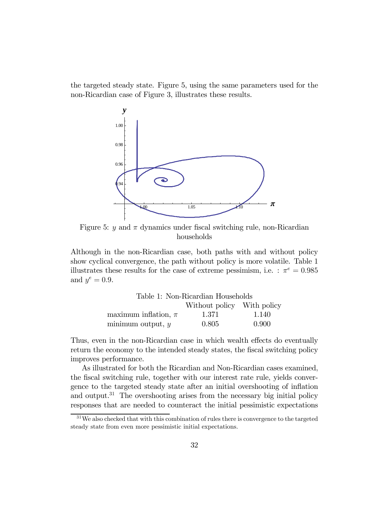the targeted steady state. Figure 5, using the same parameters used for the non-Ricardian case of Figure 3, illustrates these results.



Figure 5:  $y$  and  $\pi$  dynamics under fiscal switching rule, non-Ricardian households

Although in the non-Ricardian case, both paths with and without policy show cyclical convergence, the path without policy is more volatile. Table 1 illustrates these results for the case of extreme pessimism, i.e. :  $\pi^e = 0.985$ and  $y^e = 0.9$ .

|                          | Table 1: Non-Ricardian Households |       |  |
|--------------------------|-----------------------------------|-------|--|
|                          | Without policy With policy        |       |  |
| maximum inflation, $\pi$ | 1.371                             | 1.140 |  |
| minimum output, $y$      | 0.805                             | 0.900 |  |

Thus, even in the non-Ricardian case in which wealth effects do eventually return the economy to the intended steady states, the fiscal switching policy improves performance.

As illustrated for both the Ricardian and Non-Ricardian cases examined, the fiscal switching rule, together with our interest rate rule, yields convergence to the targeted steady state after an initial overshooting of inflation and output. $31$  The overshooting arises from the necessary big initial policy responses that are needed to counteract the initial pessimistic expectations

<sup>&</sup>lt;sup>31</sup>We also checked that with this combination of rules there is convergence to the targeted steady state from even more pessimistic initial expectations.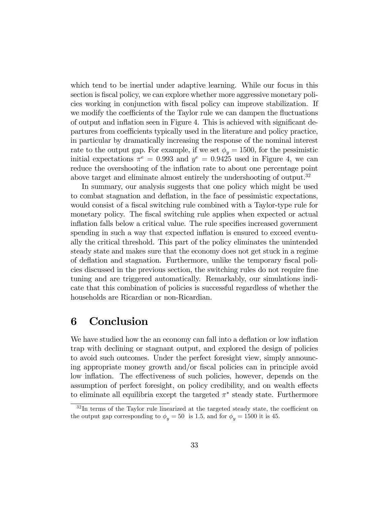which tend to be inertial under adaptive learning. While our focus in this section is fiscal policy, we can explore whether more aggressive monetary policies working in conjunction with fiscal policy can improve stabilization. If we modify the coefficients of the Taylor rule we can dampen the fluctuations of output and inflation seen in Figure 4. This is achieved with significant departures from coefficients typically used in the literature and policy practice, in particular by dramatically increasing the response of the nominal interest rate to the output gap. For example, if we set  $\phi_y = 1500$ , for the pessimistic initial expectations  $\pi^e = 0.993$  and  $y^e = 0.9425$  used in Figure 4, we can reduce the overshooting of the inflation rate to about one percentage point above target and eliminate almost entirely the undershooting of output.<sup>32</sup>

In summary, our analysis suggests that one policy which might be used to combat stagnation and deflation, in the face of pessimistic expectations, would consist of a fiscal switching rule combined with a Taylor-type rule for monetary policy. The fiscal switching rule applies when expected or actual inflation falls below a critical value. The rule specifies increased government spending in such a way that expected inflation is ensured to exceed eventually the critical threshold. This part of the policy eliminates the unintended steady state and makes sure that the economy does not get stuck in a regime of deflation and stagnation. Furthermore, unlike the temporary fiscal policies discussed in the previous section, the switching rules do not require fine tuning and are triggered automatically. Remarkably, our simulations indicate that this combination of policies is successful regardless of whether the households are Ricardian or non-Ricardian.

# 6 Conclusion

We have studied how the an economy can fall into a deflation or low inflation trap with declining or stagnant output, and explored the design of policies to avoid such outcomes. Under the perfect foresight view, simply announcing appropriate money growth and/or fiscal policies can in principle avoid low inflation. The effectiveness of such policies, however, depends on the assumption of perfect foresight, on policy credibility, and on wealth effects to eliminate all equilibria except the targeted  $\pi^*$  steady state. Furthermore

 $32$ In terms of the Taylor rule linearized at the targeted steady state, the coefficient on the output gap corresponding to  $\phi_y = 50$  is 1.5, and for  $\phi_y = 1500$  it is 45.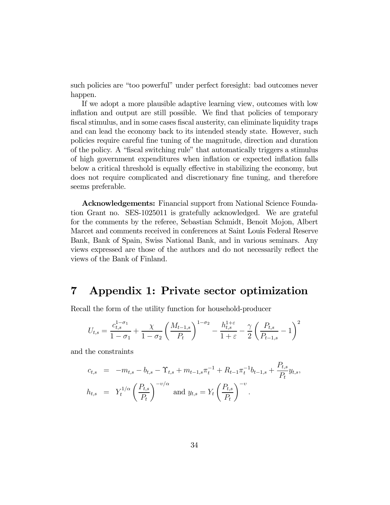such policies are "too powerful" under perfect foresight: bad outcomes never happen.

If we adopt a more plausible adaptive learning view, outcomes with low inflation and output are still possible. We find that policies of temporary fiscal stimulus, and in some cases fiscal austerity, can eliminate liquidity traps and can lead the economy back to its intended steady state. However, such policies require careful fine tuning of the magnitude, direction and duration of the policy. A "fiscal switching rule" that automatically triggers a stimulus of high government expenditures when inflation or expected inflation falls below a critical threshold is equally effective in stabilizing the economy, but does not require complicated and discretionary fine tuning, and therefore seems preferable.

Acknowledgements: Financial support from National Science Foundation Grant no. SES-1025011 is gratefully acknowledged. We are grateful for the comments by the referee, Sebastian Schmidt, Benoit Mojon, Albert Marcet and comments received in conferences at Saint Louis Federal Reserve Bank, Bank of Spain, Swiss National Bank, and in various seminars. Any views expressed are those of the authors and do not necessarily reflect the views of the Bank of Finland.

# 7 Appendix 1: Private sector optimization

Recall the form of the utility function for household-producer

$$
U_{t,s} = \frac{c_{t,s}^{1-\sigma_1}}{1-\sigma_1} + \frac{\chi}{1-\sigma_2} \left(\frac{M_{t-1,s}}{P_t}\right)^{1-\sigma_2} - \frac{h_{t,s}^{1+\varepsilon}}{1+\varepsilon} - \frac{\gamma}{2} \left(\frac{P_{t,s}}{P_{t-1,s}} - 1\right)^2
$$

and the constraints

$$
c_{t,s} = -m_{t,s} - b_{t,s} - \Upsilon_{t,s} + m_{t-1,s}\pi_t^{-1} + R_{t-1}\pi_t^{-1}b_{t-1,s} + \frac{P_{t,s}}{P_t}y_{t,s},
$$
  

$$
h_{t,s} = Y_t^{1/\alpha} \left(\frac{P_{t,s}}{P_t}\right)^{-\nu/\alpha} \text{ and } y_{t,s} = Y_t \left(\frac{P_{t,s}}{P_t}\right)^{-\nu}.
$$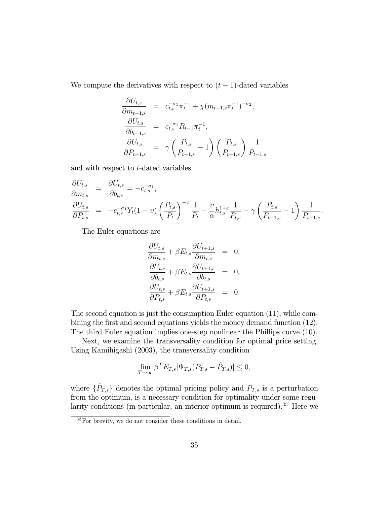We compute the derivatives with respect to  $(t-1)$ -dated variables

$$
\frac{\partial U_{t,s}}{\partial m_{t-1,s}} = c_{t,s}^{-\sigma_1} \pi_t^{-1} + \chi(m_{t-1,s} \pi_t^{-1})^{-\sigma_2},
$$
\n
$$
\frac{\partial U_{t,s}}{\partial b_{t-1,s}} = c_{t,s}^{-\sigma_1} R_{t-1} \pi_t^{-1},
$$
\n
$$
\frac{\partial U_{t,s}}{\partial P_{t-1,s}} = \gamma \left( \frac{P_{t,s}}{P_{t-1,s}} - 1 \right) \left( \frac{P_{t,s}}{P_{t-1,s}} \right) \frac{1}{P_{t-1,s}}
$$

and with respect to  $t$ -dated variables

$$
\frac{\partial U_{t,s}}{\partial m_{t,s}} = \frac{\partial U_{t,s}}{\partial b_{t,s}} = -c_{t,s}^{-\sigma_1},
$$
\n
$$
\frac{\partial U_{t,s}}{\partial P_{t,s}} = -c_{t,s}^{-\sigma_1} Y_t (1 - v) \left(\frac{P_{t,s}}{P_t}\right)^{-v} \frac{1}{P_t} - \frac{v}{\alpha} h_{t,s}^{1+\varepsilon} \frac{1}{P_{t,s}} - \gamma \left(\frac{P_{t,s}}{P_{t-1,s}} - 1\right) \frac{1}{P_{t-1,s}}.
$$

The Euler equations are

$$
\frac{\partial U_{t,s}}{\partial m_{t,s}} + \beta E_{t,s} \frac{\partial U_{t+1,s}}{\partial m_{t,s}} = 0,
$$
  

$$
\frac{\partial U_{t,s}}{\partial b_{t,s}} + \beta E_{t,s} \frac{\partial U_{t+1,s}}{\partial b_{t,s}} = 0,
$$
  

$$
\frac{\partial U_{t,s}}{\partial P_{t,s}} + \beta E_{t,s} \frac{\partial U_{t+1,s}}{\partial P_{t,s}} = 0.
$$

The second equation is just the consumption Euler equation (11), while combining the first and second equations yields the money demand function (12). The third Euler equation implies one-step nonlinear the Phillips curve (10).

Next, we examine the transversality condition for optimal price setting. Using Kamihigashi (2003), the transversality condition

$$
\lim_{T \to \infty} \beta^T E_{T,s} [\Psi_{T,s}(P_{T,s} - \hat{P}_{T,s})] \le 0,
$$

where  $\{\hat{P}_{T,s}\}\$  denotes the optimal pricing policy and  $P_{T,s}$  is a perturbation from the optimum, is a necessary condition for optimality under some regularity conditions (in particular, an interior optimum is required).<sup>33</sup> Here we

 $33$ For brevity, we do not consider these conditions in detail.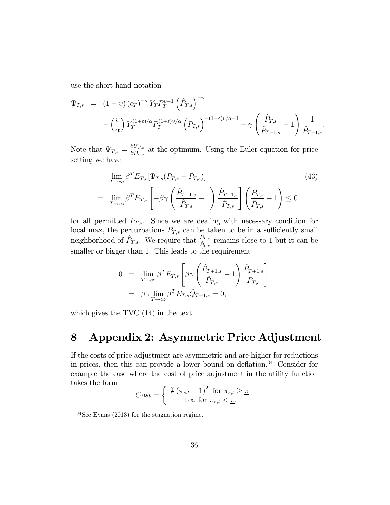use the short-hand notation

$$
\Psi_{T,s} = (1 - v) (c_T)^{-\sigma} Y_T P_T^{\nu-1} (\hat{P}_{T,s})^{-\nu}
$$

$$
- \left(\frac{\nu}{\alpha}\right) Y_T^{(1+\varepsilon)/\alpha} P_T^{(1+\varepsilon)\nu/\alpha} (\hat{P}_{T,s})^{-(1+\varepsilon)\nu/\alpha-1} - \gamma \left(\frac{\hat{P}_{T,s}}{\hat{P}_{T-1,s}} - 1\right) \frac{1}{\hat{P}_{T-1,s}}.
$$

Note that  $\Psi_{T,s} = \frac{\partial U_{T,s}}{\partial P_{T,s}}$  at the optimum. Using the Euler equation for price setting we have

$$
\lim_{T \to \infty} \beta^T E_{T,s} [\Psi_{T,s}(P_{T,s} - \hat{P}_{T,s})]
$$
\n
$$
= \lim_{T \to \infty} \beta^T E_{T,s} \left[ -\beta \gamma \left( \frac{\hat{P}_{T+1,s}}{\hat{P}_{T,s}} - 1 \right) \frac{\hat{P}_{T+1,s}}{\hat{P}_{T,s}} \right] \left( \frac{P_{T,s}}{\hat{P}_{T,s}} - 1 \right) \le 0
$$
\n(43)

for all permitted  $P_{T,s}$ . Since we are dealing with necessary condition for local max, the perturbations  $P_{T,s}$  can be taken to be in a sufficiently small neighborhood of  $\hat{P}_{T,s}$ . We require that  $\frac{P_{T,s}}{\hat{P}_{T,s}}$  remains close to 1 but it can be smaller or bigger than 1. This leads to the requirement

$$
0 = \lim_{T \to \infty} \beta^T E_{T,s} \left[ \beta \gamma \left( \frac{\hat{P}_{T+1,s}}{\hat{P}_{T,s}} - 1 \right) \frac{\hat{P}_{T+1,s}}{\hat{P}_{T,s}} \right]
$$

$$
= \beta \gamma \lim_{T \to \infty} \beta^T E_{T,s} \hat{Q}_{T+1,s} = 0,
$$

which gives the TVC  $(14)$  in the text.

# 8 Appendix 2: Asymmetric Price Adjustment

If the costs of price adjustment are asymmetric and are higher for reductions in prices, then this can provide a lower bound on deflation.<sup>34</sup> Consider for example the case where the cost of price adjustment in the utility function takes the form

$$
Cost = \begin{cases} \frac{\gamma}{2} (\pi_{s,t} - 1)^2 & \text{for } \pi_{s,t} \geq \pi \\ +\infty & \text{for } \pi_{s,t} < \pi, \end{cases}
$$

<sup>34</sup>See Evans (2013) for the stagnation regime.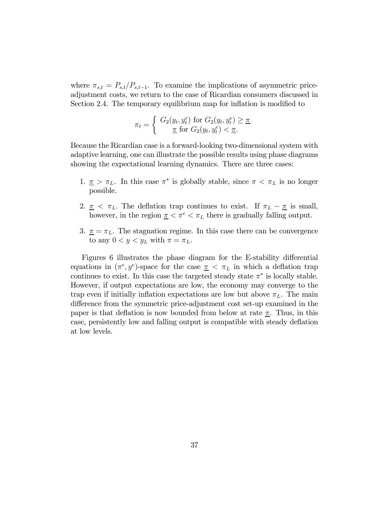where  $\pi_{s,t} = P_{s,t}/P_{s,t-1}$ . To examine the implications of asymmetric priceadjustment costs, we return to the case of Ricardian consumers discussed in Section 2.4. The temporary equilibrium map for inflation is modified to

$$
\pi_t = \begin{cases} G_2(y_t, y_t^e) \text{ for } G_2(y_t, y_t^e) \ge \underline{\pi} \\ \underline{\pi} \text{ for } G_2(y_t, y_t^e) < \underline{\pi}. \end{cases}
$$

Because the Ricardian case is a forward-looking two-dimensional system with adaptive learning, one can illustrate the possible results using phase diagrams showing the expectational learning dynamics. There are three cases:

- 1.  $\pi > \pi_L$ . In this case  $\pi^*$  is globally stable, since  $\pi < \pi_L$  is no longer possible.
- 2.  $\pi < \pi_L$ . The deflation trap continues to exist. If  $\pi_L \pi$  is small, however, in the region  $\underline{\pi} < \pi^e < \pi_L$  there is gradually falling output.
- 3.  $\pi = \pi_L$ . The stagnation regime. In this case there can be convergence to any  $0 < y < y_L$  with  $\pi = \pi_L$ .

Figures 6 illustrates the phase diagram for the E-stability differential equations in  $(\pi^e, y^e)$ -space for the case  $\pi < \pi_L$  in which a deflation trap continues to exist. In this case the targeted steady state  $\pi^*$  is locally stable. However, if output expectations are low, the economy may converge to the trap even if initially inflation expectations are low but above  $\pi_L$ . The main difference from the symmetric price-adjustment cost set-up examined in the paper is that deflation is now bounded from below at rate  $\pi$ . Thus, in this case, persistently low and falling output is compatible with steady deflation at low levels.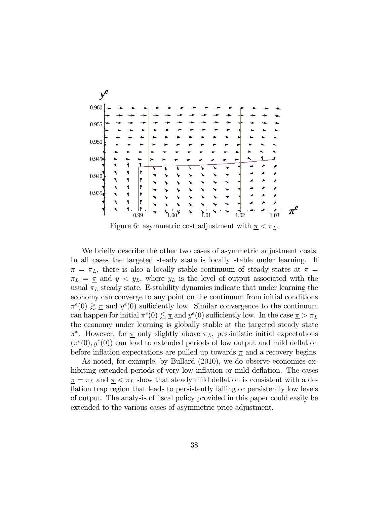

Figure 6: asymmetric cost adjustment with  $\pi < \pi_L$ .

We briefly describe the other two cases of asymmetric adjustment costs. In all cases the targeted steady state is locally stable under learning. If  $\pi = \pi_L$ , there is also a locally stable continuum of steady states at  $\pi =$  $\pi_L = \pi$  and  $y \le y_L$ , where  $y_L$  is the level of output associated with the usual  $\pi_L$  steady state. E-stability dynamics indicate that under learning the economy can converge to any point on the continuum from initial conditions  $\pi^e(0) \gtrsim \pi$  and  $y^e(0)$  sufficiently low. Similar convergence to the continuum can happen for initial  $\pi^e(0) \lesssim \pi$  and  $y^e(0)$  sufficiently low. In the case  $\pi > \pi_L$ the economy under learning is globally stable at the targeted steady state  $\pi^*$ . However, for  $\underline{\pi}$  only slightly above  $\pi_L$ , pessimistic initial expectations  $(\pi^e(0), y^e(0))$  can lead to extended periods of low output and mild deflation before inflation expectations are pulled up towards  $\pi$  and a recovery begins.

As noted, for example, by Bullard (2010), we do observe economies exhibiting extended periods of very low inflation or mild deflation. The cases  $\pi = \pi_L$  and  $\pi < \pi_L$  show that steady mild deflation is consistent with a deflation trap region that leads to persistently falling or persistently low levels of output. The analysis of fiscal policy provided in this paper could easily be extended to the various cases of asymmetric price adjustment.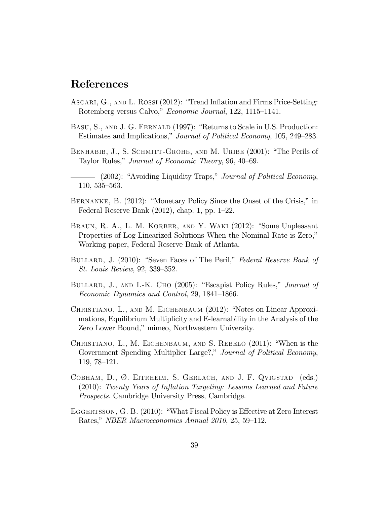### References

- Ascari, G., and L. Rossi (2012): "Trend Inflation and Firms Price-Setting: Rotemberg versus Calvo," Economic Journal, 122, 1115—1141.
- Basu, S., and J. G. Fernald (1997): "Returns to Scale in U.S. Production: Estimates and Implications," Journal of Political Economy, 105, 249—283.
- BENHABIB, J., S. SCHMITT-GROHE, AND M. URIBE (2001): "The Perils of Taylor Rules," Journal of Economic Theory, 96, 40—69.
	- (2002): "Avoiding Liquidity Traps," *Journal of Political Economy*, 110, 535—563.
- Bernanke, B. (2012): "Monetary Policy Since the Onset of the Crisis," in Federal Reserve Bank (2012), chap. 1, pp. 1—22.
- Braun, R. A., L. M. Korber, and Y. Waki (2012): "Some Unpleasant Properties of Log-Linearized Solutions When the Nominal Rate is Zero," Working paper, Federal Reserve Bank of Atlanta.
- BULLARD, J. (2010): "Seven Faces of The Peril," Federal Reserve Bank of St. Louis Review, 92, 339—352.
- BULLARD, J., AND I.-K. CHO (2005): "Escapist Policy Rules," Journal of Economic Dynamics and Control, 29, 1841—1866.
- Christiano, L., and M. Eichenbaum (2012): "Notes on Linear Approximations, Equilibrium Multiplicity and E-learnability in the Analysis of the Zero Lower Bound," mimeo, Northwestern University.
- Christiano, L., M. Eichenbaum, and S. Rebelo (2011): "When is the Government Spending Multiplier Large?," Journal of Political Economy, 119, 78—121.
- COBHAM, D., Ø. EITRHEIM, S. GERLACH, AND J. F. QVIGSTAD (eds.) (2010): Twenty Years of Inflation Targeting: Lessons Learned and Future Prospects. Cambridge University Press, Cambridge.
- EGGERTSSON, G. B. (2010): "What Fiscal Policy is Effective at Zero Interest Rates," NBER Macroeconomics Annual 2010, 25, 59—112.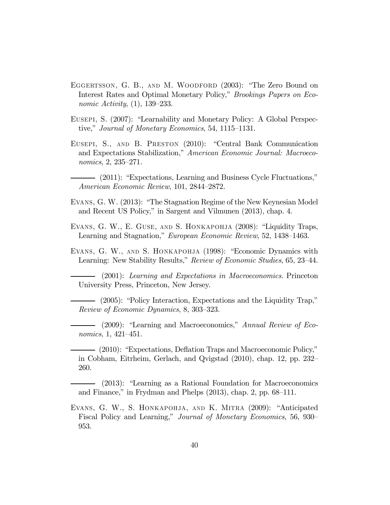- EGGERTSSON, G. B., AND M. WOODFORD (2003): "The Zero Bound on Interest Rates and Optimal Monetary Policy," Brookings Papers on Economic Activity, (1), 139—233.
- Eusepi, S. (2007): "Learnability and Monetary Policy: A Global Perspective," Journal of Monetary Economics, 54, 1115—1131.
- EUSEPI, S., AND B. PRESTON (2010): "Central Bank Communication and Expectations Stabilization," American Economic Journal: Macroeconomics, 2, 235—271.

(2011): "Expectations, Learning and Business Cycle Fluctuations," American Economic Review, 101, 2844—2872.

- Evans, G. W. (2013): "The Stagnation Regime of the New Keynesian Model and Recent US Policy," in Sargent and Vilmunen (2013), chap. 4.
- Evans, G. W., E. Guse, and S. Honkapohja (2008): "Liquidity Traps, Learning and Stagnation," European Economic Review, 52, 1438—1463.
- Evans, G. W., and S. Honkapohja (1998): "Economic Dynamics with Learning: New Stability Results," Review of Economic Studies, 65, 23—44.

 $-$  (2001): Learning and Expectations in Macroeconomics. Princeton University Press, Princeton, New Jersey.

(2005): "Policy Interaction, Expectations and the Liquidity Trap," Review of Economic Dynamics, 8, 303—323.

(2009): "Learning and Macroeconomics," Annual Review of Economics, 1, 421—451.

(2010): "Expectations, Deflation Traps and Macroeconomic Policy," in Cobham, Eitrheim, Gerlach, and Qvigstad (2010), chap. 12, pp. 232— 260.

(2013): "Learning as a Rational Foundation for Macroeconomics and Finance," in Frydman and Phelps (2013), chap. 2, pp. 68—111.

Evans, G. W., S. Honkapohja, and K. Mitra (2009): "Anticipated Fiscal Policy and Learning," Journal of Monetary Economics, 56, 930— 953.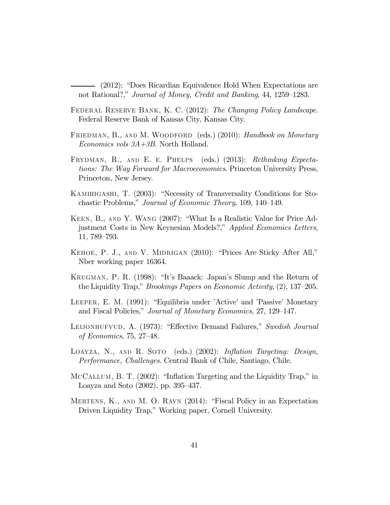(2012): "Does Ricardian Equivalence Hold When Expectations are not Rational?," Journal of Money, Credit and Banking, 44, 1259—1283.

- Federal Reserve Bank, K. C. (2012): The Changing Policy Landscape. Federal Reserve Bank of Kansas City, Kansas City.
- FRIEDMAN, B., AND M. WOODFORD (eds.) (2010): Handbook on Monetary Economics vols 3A+3B. North Holland.
- FRYDMAN, R., AND E. E. PHELPS (eds.) (2013): Rethinking Expectations: The Way Forward for Macroeconomics. Princeton University Press, Princeton, New Jersey.
- Kamihigashi, T. (2003): "Necessity of Transversality Conditions for Stochastic Problems," Journal of Economic Theory, 109, 140—149.
- Keen, B., and Y. Wang (2007): "What Is a Realistic Value for Price Adjustment Costs in New Keynesian Models?," Applied Economics Letters, 11, 789—793.
- Kehoe, P. J., and V. Midrigan (2010): "Prices Are Sticky After All," Nber working paper 16364.
- Krugman, P. R. (1998): "It's Baaack: Japan's Slump and the Return of the Liquidity Trap," Brookings Papers on Economic Activity, (2), 137—205.
- LEEPER, E. M. (1991): "Equilibria under 'Active' and 'Passive' Monetary and Fiscal Policies," Journal of Monetary Economics, 27, 129—147.
- LEIJONHUFVUD, A. (1973): "Effective Demand Failures," Swedish Journal of Economics, 75, 27—48.
- LOAYZA, N., AND R. SOTO (eds.) (2002): Inflation Targeting: Design, Performance, Challenges. Central Bank of Chile, Santiago, Chile.
- McCallum, B. T. (2002): "Inflation Targeting and the Liquidity Trap," in Loayza and Soto (2002), pp. 395—437.
- Mertens, K., and M. O. Ravn (2014): "Fiscal Policy in an Expectation Driven Liquidity Trap," Working paper, Cornell University.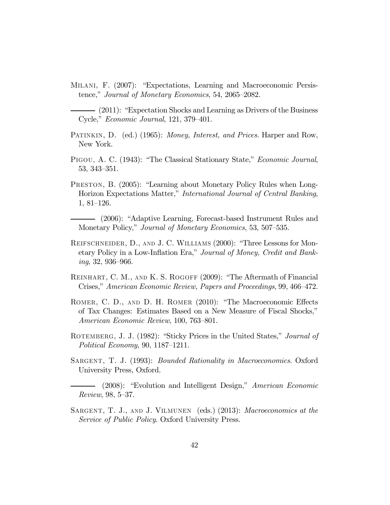Milani, F. (2007): "Expectations, Learning and Macroeconomic Persistence," Journal of Monetary Economics, 54, 2065—2082.

(2011): "Expectation Shocks and Learning as Drivers of the Business Cycle," Economic Journal, 121, 379—401.

- PATINKIN, D. (ed.) (1965): *Money, Interest, and Prices.* Harper and Row, New York.
- Pigou, A. C. (1943): "The Classical Stationary State," Economic Journal, 53, 343—351.
- PRESTON, B. (2005): "Learning about Monetary Policy Rules when Long-Horizon Expectations Matter," International Journal of Central Banking, 1, 81—126.
	- (2006): "Adaptive Learning, Forecast-based Instrument Rules and Monetary Policy," Journal of Monetary Economics, 53, 507—535.
- Reifschneider, D., and J. C. Williams (2000): "Three Lessons for Monetary Policy in a Low-Inflation Era," Journal of Money, Credit and Banking, 32, 936—966.
- Reinhart, C. M., and K. S. Rogoff (2009): "The Aftermath of Financial Crises," American Economic Review, Papers and Proceedings, 99, 466—472.
- Romer, C. D., and D. H. Romer (2010): "The Macroeconomic Effects of Tax Changes: Estimates Based on a New Measure of Fiscal Shocks," American Economic Review, 100, 763—801.
- ROTEMBERG, J. J. (1982): "Sticky Prices in the United States," Journal of Political Economy, 90, 1187—1211.
- SARGENT, T. J. (1993): *Bounded Rationality in Macroeconomics*. Oxford University Press, Oxford.
- (2008): "Evolution and Intelligent Design," American Economic Review, 98, 5—37.
- SARGENT, T. J., AND J. VILMUNEN (eds.) (2013): Macroeconomics at the Service of Public Policy. Oxford University Press.